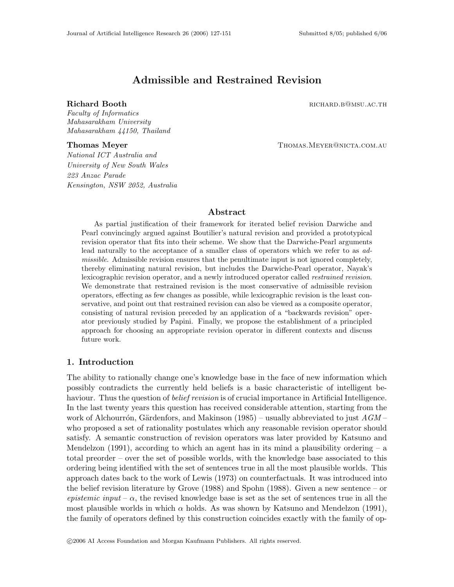# Admissible and Restrained Revision

Richard Booth **Richard Booth richard**  $R$  **richard**  $R$  **richard**  $R$  **richard**  $R$  **richard**  $R$  **right** 

Faculty of Informatics Mahasarakham University Mahasarakham 44150, Thailand

Thomas Meyer Thomas.MEYER@NICTA.COM.AU

National ICT Australia and University of New South Wales 223 Anzac Parade Kensington, NSW 2052, Australia

# Abstract

As partial justification of their framework for iterated belief revision Darwiche and Pearl convincingly argued against Boutilier's natural revision and provided a prototypical revision operator that fits into their scheme. We show that the Darwiche-Pearl arguments lead naturally to the acceptance of a smaller class of operators which we refer to as admissible. Admissible revision ensures that the penultimate input is not ignored completely, thereby eliminating natural revision, but includes the Darwiche-Pearl operator, Nayak's lexicographic revision operator, and a newly introduced operator called restrained revision. We demonstrate that restrained revision is the most conservative of admissible revision operators, effecting as few changes as possible, while lexicographic revision is the least conservative, and point out that restrained revision can also be viewed as a composite operator, consisting of natural revision preceded by an application of a "backwards revision" operator previously studied by Papini. Finally, we propose the establishment of a principled approach for choosing an appropriate revision operator in different contexts and discuss future work.

# 1. Introduction

The ability to rationally change one's knowledge base in the face of new information which possibly contradicts the currently held beliefs is a basic characteristic of intelligent behaviour. Thus the question of *belief revision* is of crucial importance in Artificial Intelligence. In the last twenty years this question has received considerable attention, starting from the work of Alchourrón, Gärdenfors, and Makinson (1985) – usually abbreviated to just  $AGM$  – who proposed a set of rationality postulates which any reasonable revision operator should satisfy. A semantic construction of revision operators was later provided by Katsuno and Mendelzon (1991), according to which an agent has in its mind a plausibility ordering  $- a$ total preorder – over the set of possible worlds, with the knowledge base associated to this ordering being identified with the set of sentences true in all the most plausible worlds. This approach dates back to the work of Lewis (1973) on counterfactuals. It was introduced into the belief revision literature by Grove (1988) and Spohn (1988). Given a new sentence – or epistemic input –  $\alpha$ , the revised knowledge base is set as the set of sentences true in all the most plausible worlds in which  $\alpha$  holds. As was shown by Katsuno and Mendelzon (1991), the family of operators defined by this construction coincides exactly with the family of op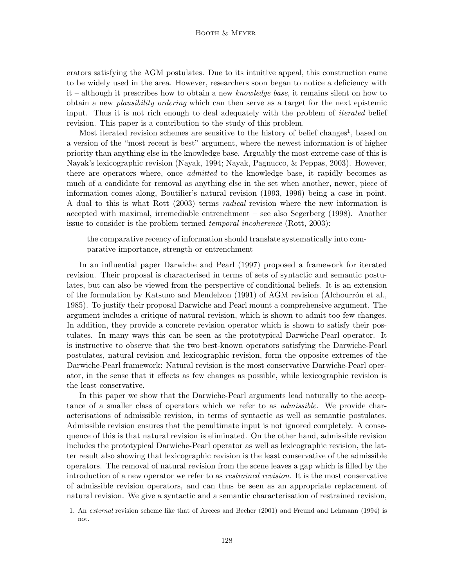erators satisfying the AGM postulates. Due to its intuitive appeal, this construction came to be widely used in the area. However, researchers soon began to notice a deficiency with it – although it prescribes how to obtain a new knowledge base, it remains silent on how to obtain a new plausibility ordering which can then serve as a target for the next epistemic input. Thus it is not rich enough to deal adequately with the problem of *iterated* belief revision. This paper is a contribution to the study of this problem.

Most iterated revision schemes are sensitive to the history of belief changes<sup>1</sup>, based on a version of the "most recent is best" argument, where the newest information is of higher priority than anything else in the knowledge base. Arguably the most extreme case of this is Nayak's lexicographic revision (Nayak, 1994; Nayak, Pagnucco, & Peppas, 2003). However, there are operators where, once *admitted* to the knowledge base, it rapidly becomes as much of a candidate for removal as anything else in the set when another, newer, piece of information comes along, Boutilier's natural revision (1993, 1996) being a case in point. A dual to this is what Rott (2003) terms radical revision where the new information is accepted with maximal, irremediable entrenchment – see also Segerberg (1998). Another issue to consider is the problem termed *temporal incoherence* (Rott, 2003):

the comparative recency of information should translate systematically into comparative importance, strength or entrenchment

In an influential paper Darwiche and Pearl (1997) proposed a framework for iterated revision. Their proposal is characterised in terms of sets of syntactic and semantic postulates, but can also be viewed from the perspective of conditional beliefs. It is an extension of the formulation by Katsuno and Mendelzon  $(1991)$  of AGM revision (Alchourrón et al., 1985). To justify their proposal Darwiche and Pearl mount a comprehensive argument. The argument includes a critique of natural revision, which is shown to admit too few changes. In addition, they provide a concrete revision operator which is shown to satisfy their postulates. In many ways this can be seen as the prototypical Darwiche-Pearl operator. It is instructive to observe that the two best-known operators satisfying the Darwiche-Pearl postulates, natural revision and lexicographic revision, form the opposite extremes of the Darwiche-Pearl framework: Natural revision is the most conservative Darwiche-Pearl operator, in the sense that it effects as few changes as possible, while lexicographic revision is the least conservative.

In this paper we show that the Darwiche-Pearl arguments lead naturally to the acceptance of a smaller class of operators which we refer to as *admissible*. We provide characterisations of admissible revision, in terms of syntactic as well as semantic postulates. Admissible revision ensures that the penultimate input is not ignored completely. A consequence of this is that natural revision is eliminated. On the other hand, admissible revision includes the prototypical Darwiche-Pearl operator as well as lexicographic revision, the latter result also showing that lexicographic revision is the least conservative of the admissible operators. The removal of natural revision from the scene leaves a gap which is filled by the introduction of a new operator we refer to as restrained revision. It is the most conservative of admissible revision operators, and can thus be seen as an appropriate replacement of natural revision. We give a syntactic and a semantic characterisation of restrained revision,

<sup>1.</sup> An external revision scheme like that of Areces and Becher (2001) and Freund and Lehmann (1994) is not.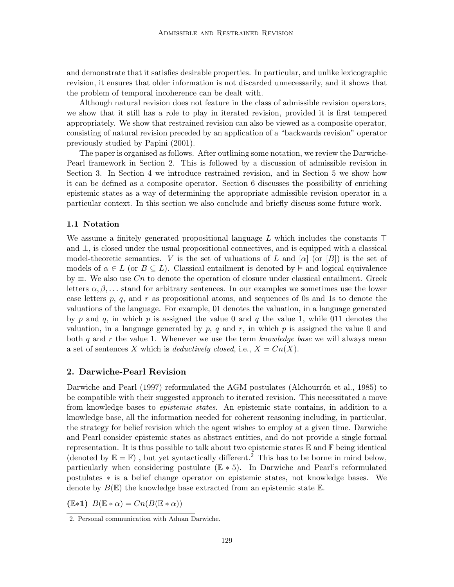and demonstrate that it satisfies desirable properties. In particular, and unlike lexicographic revision, it ensures that older information is not discarded unnecessarily, and it shows that the problem of temporal incoherence can be dealt with.

Although natural revision does not feature in the class of admissible revision operators, we show that it still has a role to play in iterated revision, provided it is first tempered appropriately. We show that restrained revision can also be viewed as a composite operator, consisting of natural revision preceded by an application of a "backwards revision" operator previously studied by Papini (2001).

The paper is organised as follows. After outlining some notation, we review the Darwiche-Pearl framework in Section 2. This is followed by a discussion of admissible revision in Section 3. In Section 4 we introduce restrained revision, and in Section 5 we show how it can be defined as a composite operator. Section 6 discusses the possibility of enriching epistemic states as a way of determining the appropriate admissible revision operator in a particular context. In this section we also conclude and briefly discuss some future work.

#### 1.1 Notation

We assume a finitely generated propositional language L which includes the constants  $\top$ and ⊥, is closed under the usual propositional connectives, and is equipped with a classical model-theoretic semantics. V is the set of valuations of L and  $[\alpha]$  (or  $[B]$ ) is the set of models of  $\alpha \in L$  (or  $B \subseteq L$ ). Classical entailment is denoted by  $\models$  and logical equivalence by  $\equiv$ . We also use Cn to denote the operation of closure under classical entailment. Greek letters  $\alpha, \beta, \ldots$  stand for arbitrary sentences. In our examples we sometimes use the lower case letters p, q, and r as propositional atoms, and sequences of 0s and 1s to denote the valuations of the language. For example, 01 denotes the valuation, in a language generated by p and q, in which p is assigned the value 0 and q the value 1, while 011 denotes the valuation, in a language generated by  $p$ ,  $q$  and  $r$ , in which  $p$  is assigned the value 0 and both q and r the value 1. Whenever we use the term knowledge base we will always mean a set of sentences X which is *deductively closed*, i.e.,  $X = Cn(X)$ .

### 2. Darwiche-Pearl Revision

Darwiche and Pearl (1997) reformulated the AGM postulates (Alchourrón et al., 1985) to be compatible with their suggested approach to iterated revision. This necessitated a move from knowledge bases to *epistemic states*. An epistemic state contains, in addition to a knowledge base, all the information needed for coherent reasoning including, in particular, the strategy for belief revision which the agent wishes to employ at a given time. Darwiche and Pearl consider epistemic states as abstract entities, and do not provide a single formal representation. It is thus possible to talk about two epistemic states  $\mathbb E$  and  $\mathbb F$  being identical (denoted by  $\mathbb{E} = \mathbb{F}$ ), but yet syntactically different.<sup>2</sup> This has to be borne in mind below, particularly when considering postulate  $(E * 5)$ . In Darwiche and Pearl's reformulated postulates ∗ is a belief change operator on epistemic states, not knowledge bases. We denote by  $B(\mathbb{E})$  the knowledge base extracted from an epistemic state  $\mathbb{E}$ .

 $(E*1)$   $B(E*\alpha) = Cn(B(E*\alpha))$ 

<sup>2.</sup> Personal communication with Adnan Darwiche.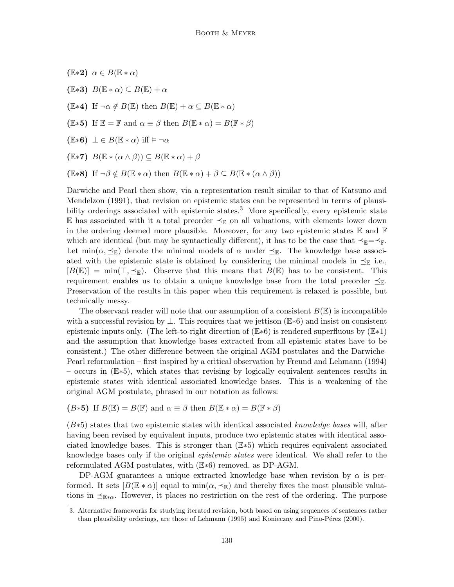- $(E*2)$   $\alpha \in B(E*\alpha)$
- $(E*3)$   $B(E*\alpha) \subseteq B(E)+\alpha$
- (E∗4) If  $\neg \alpha \notin B(\mathbb{E})$  then  $B(\mathbb{E}) + \alpha \subseteq B(\mathbb{E} * \alpha)$
- (E∗5) If  $\mathbb{E} = \mathbb{F}$  and  $\alpha \equiv \beta$  then  $B(\mathbb{E} * \alpha) = B(\mathbb{F} * \beta)$
- $(E*6) \perp E E(E*\alpha)$  iff  $\models \neg \alpha$
- $(E*7)$   $B(E * (\alpha \wedge \beta)) \subseteq B(E * \alpha) + \beta$
- (E\*8) If  $\neg \beta \notin B(E \ast \alpha)$  then  $B(E \ast \alpha) + \beta \subseteq B(E \ast (\alpha \wedge \beta))$

Darwiche and Pearl then show, via a representation result similar to that of Katsuno and Mendelzon (1991), that revision on epistemic states can be represented in terms of plausibility orderings associated with epistemic states.<sup>3</sup> More specifically, every epistemic state E has associated with it a total preorder  $\leq_{\mathbb{E}}$  on all valuations, with elements lower down in the ordering deemed more plausible. Moreover, for any two epistemic states  $\mathbb E$  and  $\mathbb F$ which are identical (but may be syntactically different), it has to be the case that  $\preceq_{\mathbb{F}} = \preceq_{\mathbb{F}}$ . Let min( $\alpha, \preceq_{\mathbb{E}}$ ) denote the minimal models of  $\alpha$  under  $\preceq_{\mathbb{E}}$ . The knowledge base associated with the epistemic state is obtained by considering the minimal models in  $\preceq_{\mathbb{E}}$  i.e.,  $[B(\mathbb{E})] = \min(\top, \preceq_{\mathbb{E}})$ . Observe that this means that  $B(\mathbb{E})$  has to be consistent. This requirement enables us to obtain a unique knowledge base from the total preorder  $\preceq_{\mathbb{E}}$ . Preservation of the results in this paper when this requirement is relaxed is possible, but technically messy.

The observant reader will note that our assumption of a consistent  $B(\mathbb{E})$  is incompatible with a successful revision by  $\perp$ . This requires that we jettison ( $\mathbb{E} * 6$ ) and insist on consistent epistemic inputs only. (The left-to-right direction of  $(\mathbb{E} * 6)$  is rendered superfluous by  $(\mathbb{E} * 1)$ and the assumption that knowledge bases extracted from all epistemic states have to be consistent.) The other difference between the original AGM postulates and the Darwiche-Pearl reformulation – first inspired by a critical observation by Freund and Lehmann (1994) – occurs in (E∗5), which states that revising by logically equivalent sentences results in epistemic states with identical associated knowledge bases. This is a weakening of the original AGM postulate, phrased in our notation as follows:

(*B*\*5) If 
$$
B(\mathbb{E}) = B(\mathbb{F})
$$
 and  $\alpha \equiv \beta$  then  $B(\mathbb{E} * \alpha) = B(\mathbb{F} * \beta)$ 

 $(B*5)$  states that two epistemic states with identical associated knowledge bases will, after having been revised by equivalent inputs, produce two epistemic states with identical associated knowledge bases. This is stronger than (E∗5) which requires equivalent associated knowledge bases only if the original *epistemic states* were identical. We shall refer to the reformulated AGM postulates, with (E∗6) removed, as DP-AGM.

DP-AGM guarantees a unique extracted knowledge base when revision by  $\alpha$  is performed. It sets  $B(\mathbb{E} * \alpha)$  equal to  $\min(\alpha, \preceq_{\mathbb{E}})$  and thereby fixes the most plausible valuations in  $\preceq_{\mathbb{E}*\alpha}$ . However, it places no restriction on the rest of the ordering. The purpose

<sup>3.</sup> Alternative frameworks for studying iterated revision, both based on using sequences of sentences rather than plausibility orderings, are those of Lehmann (1995) and Konieczny and Pino-Pérez (2000).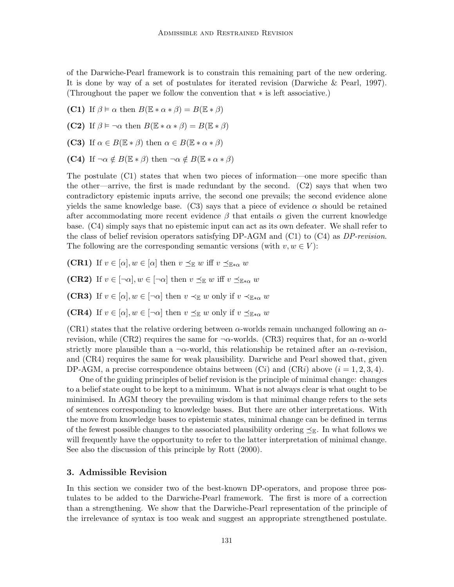of the Darwiche-Pearl framework is to constrain this remaining part of the new ordering. It is done by way of a set of postulates for iterated revision (Darwiche & Pearl, 1997). (Throughout the paper we follow the convention that ∗ is left associative.)

- (C1) If  $\beta \models \alpha$  then  $B(\mathbb{E} * \alpha * \beta) = B(\mathbb{E} * \beta)$
- (C2) If  $\beta \models \neg \alpha$  then  $B(\mathbb{E} * \alpha * \beta) = B(\mathbb{E} * \beta)$
- (C3) If  $\alpha \in B(\mathbb{E} * \beta)$  then  $\alpha \in B(\mathbb{E} * \alpha * \beta)$
- (C4) If  $\neg \alpha \notin B(\mathbb{E} * \beta)$  then  $\neg \alpha \notin B(\mathbb{E} * \alpha * \beta)$

The postulate (C1) states that when two pieces of information—one more specific than the other—arrive, the first is made redundant by the second. (C2) says that when two contradictory epistemic inputs arrive, the second one prevails; the second evidence alone yields the same knowledge base. (C3) says that a piece of evidence  $\alpha$  should be retained after accommodating more recent evidence  $\beta$  that entails  $\alpha$  given the current knowledge base. (C4) simply says that no epistemic input can act as its own defeater. We shall refer to the class of belief revision operators satisfying DP-AGM and  $(C1)$  to  $(C4)$  as DP-revision. The following are the corresponding semantic versions (with  $v, w \in V$ ):

- **(CR1)** If  $v \in [\alpha], w \in [\alpha]$  then  $v \preceq_{\mathbb{E}} w$  iff  $v \preceq_{\mathbb{E} * \alpha} w$
- (CR2) If  $v \in [\neg \alpha], w \in [\neg \alpha]$  then  $v \preceq_{\mathbb{E}} w$  iff  $v \preceq_{\mathbb{E} * \alpha} w$
- (CR3) If  $v \in [\alpha], w \in [\neg \alpha]$  then  $v \prec_{\mathbb{E}} w$  only if  $v \prec_{\mathbb{E} * \alpha} w$
- **(CR4)** If  $v \in [\alpha], w \in [\neg \alpha]$  then  $v \preceq_{\mathbb{E}} w$  only if  $v \preceq_{\mathbb{E} * \alpha} w$

(CR1) states that the relative ordering between  $\alpha$ -worlds remain unchanged following an  $\alpha$ revision, while (CR2) requires the same for  $\neg \alpha$ -worlds. (CR3) requires that, for an  $\alpha$ -world strictly more plausible than a  $\neg \alpha$ -world, this relationship be retained after an  $\alpha$ -revision, and (CR4) requires the same for weak plausibility. Darwiche and Pearl showed that, given DP-AGM, a precise correspondence obtains between  $(Ci)$  and  $(CRi)$  above  $(i = 1, 2, 3, 4)$ .

One of the guiding principles of belief revision is the principle of minimal change: changes to a belief state ought to be kept to a minimum. What is not always clear is what ought to be minimised. In AGM theory the prevailing wisdom is that minimal change refers to the sets of sentences corresponding to knowledge bases. But there are other interpretations. With the move from knowledge bases to epistemic states, minimal change can be defined in terms of the fewest possible changes to the associated plausibility ordering  $\preceq_{\mathbb{R}}$ . In what follows we will frequently have the opportunity to refer to the latter interpretation of minimal change. See also the discussion of this principle by Rott (2000).

# 3. Admissible Revision

In this section we consider two of the best-known DP-operators, and propose three postulates to be added to the Darwiche-Pearl framework. The first is more of a correction than a strengthening. We show that the Darwiche-Pearl representation of the principle of the irrelevance of syntax is too weak and suggest an appropriate strengthened postulate.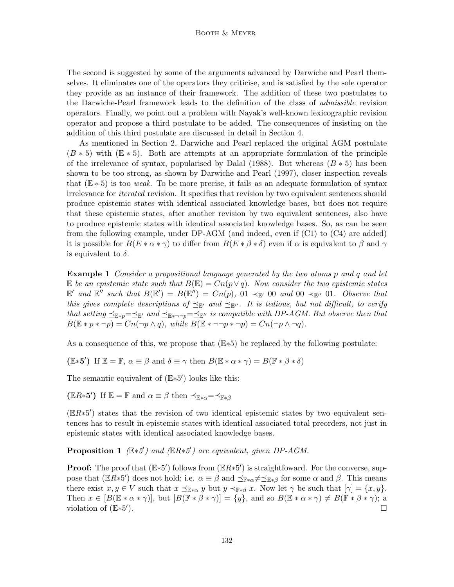The second is suggested by some of the arguments advanced by Darwiche and Pearl themselves. It eliminates one of the operators they criticise, and is satisfied by the sole operator they provide as an instance of their framework. The addition of these two postulates to the Darwiche-Pearl framework leads to the definition of the class of admissible revision operators. Finally, we point out a problem with Nayak's well-known lexicographic revision operator and propose a third postulate to be added. The consequences of insisting on the addition of this third postulate are discussed in detail in Section 4.

As mentioned in Section 2, Darwiche and Pearl replaced the original AGM postulate  $(B * 5)$  with  $(\mathbb{E} * 5)$ . Both are attempts at an appropriate formulation of the principle of the irrelevance of syntax, popularised by Dalal (1988). But whereas  $(B * 5)$  has been shown to be too strong, as shown by Darwiche and Pearl (1997), closer inspection reveals that  $(E * 5)$  is too *weak*. To be more precise, it fails as an adequate formulation of syntax irrelevance for *iterated* revision. It specifies that revision by two equivalent sentences should produce epistemic states with identical associated knowledge bases, but does not require that these epistemic states, after another revision by two equivalent sentences, also have to produce epistemic states with identical associated knowledge bases. So, as can be seen from the following example, under DP-AGM (and indeed, even if (C1) to (C4) are added) it is possible for  $B(E*\alpha*\gamma)$  to differ from  $B(E*\beta*\delta)$  even if  $\alpha$  is equivalent to  $\beta$  and  $\gamma$ is equivalent to  $\delta$ .

**Example 1** Consider a propositional language generated by the two atoms p and q and let E be an epistemic state such that  $B(\mathbb{E}) = Cn(p \vee q)$ . Now consider the two epistemic states  $\mathbb{E}'$  and  $\mathbb{E}''$  such that  $B(\mathbb{E}') = B(\mathbb{E}'') = Cn(p)$ , 01  $\prec_{\mathbb{E}'}$  00 and 00  $\prec_{\mathbb{E}''}$  01. Observe that this gives complete descriptions of  $\preceq_{\mathbb{E}'}$  and  $\preceq_{\mathbb{E}''}$ . It is tedious, but not difficult, to verify that setting  $\preceq_{\mathbb{E} * p}=\preceq_{\mathbb{E}'}$  and  $\preceq_{\mathbb{E} * \neg p}=\preceq_{\mathbb{E}''}$  is compatible with DP-AGM. But observe then that  $B(\mathbb{E} * p * \neg p) = Cn(\neg p \land q)$ , while  $B(\mathbb{E} * \neg \neg p * \neg p) = Cn(\neg p \land \neg q)$ .

As a consequence of this, we propose that  $(E*5)$  be replaced by the following postulate:

(E\*5') If  $\mathbb{E} = \mathbb{F}$ ,  $\alpha \equiv \beta$  and  $\delta \equiv \gamma$  then  $B(\mathbb{E} * \alpha * \gamma) = B(\mathbb{F} * \beta * \delta)$ 

The semantic equivalent of  $(E*5')$  looks like this:

(ER\*5') If  $\mathbb{E} = \mathbb{F}$  and  $\alpha \equiv \beta$  then  $\preceq_{\mathbb{E}*\alpha} = \preceq_{\mathbb{F}*\beta}$ 

 $(ER*5')$  states that the revision of two identical epistemic states by two equivalent sentences has to result in epistemic states with identical associated total preorders, not just in epistemic states with identical associated knowledge bases.

**Proposition 1** ( $\mathbb{E} \ast 5'$ ) and ( $\mathbb{E} R \ast 5'$ ) are equivalent, given DP-AGM.

**Proof:** The proof that  $(\mathbb{E} \ast 5')$  follows from  $(\mathbb{E} R \ast 5')$  is straightfoward. For the converse, suppose that ( $\mathbb{E}R*5'$ ) does not hold; i.e.  $\alpha \equiv \beta$  and  $\preceq_{\mathbb{F}*\alpha} \neq \preceq_{\mathbb{E}*\beta}$  for some  $\alpha$  and  $\beta$ . This means there exist  $x, y \in V$  such that  $x \preceq_{\mathbb{E} * \alpha} y$  but  $y \prec_{\mathbb{F} * \beta} x$ . Now let  $\gamma$  be such that  $[\gamma] = \{x, y\}$ . Then  $x \in [B(\mathbb{E} * \alpha * \gamma)],$  but  $[B(\mathbb{F} * \beta * \gamma)] = \{y\}$ , and so  $B(\mathbb{E} * \alpha * \gamma) \neq B(\mathbb{F} * \beta * \gamma);$  a violation of (E\*5' ).  $\qquad \qquad \Box$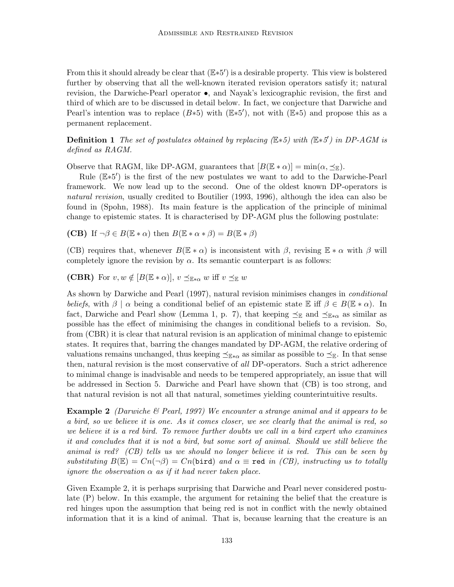From this it should already be clear that  $(E*5')$  is a desirable property. This view is bolstered further by observing that all the well-known iterated revision operators satisfy it; natural revision, the Darwiche-Pearl operator •, and Nayak's lexicographic revision, the first and third of which are to be discussed in detail below. In fact, we conjecture that Darwiche and Pearl's intention was to replace  $(B*5)$  with  $(\mathbb{E} * 5')$ , not with  $(\mathbb{E} * 5)$  and propose this as a permanent replacement.

**Definition 1** The set of postulates obtained by replacing ( $E*5$ ) with ( $E*5'$ ) in DP-AGM is defined as RAGM.

Observe that RAGM, like DP-AGM, guarantees that  $[B(\mathbb{E} * \alpha)] = min(\alpha, \preceq_{\mathbb{E}})$ .

Rule (E<sup>\*5'</sup>) is the first of the new postulates we want to add to the Darwiche-Pearl framework. We now lead up to the second. One of the oldest known DP-operators is natural revision, usually credited to Boutilier (1993, 1996), although the idea can also be found in (Spohn, 1988). Its main feature is the application of the principle of minimal change to epistemic states. It is characterised by DP-AGM plus the following postulate:

**(CB)** If  $\neg \beta \in B(\mathbb{E} * \alpha)$  then  $B(\mathbb{E} * \alpha * \beta) = B(\mathbb{E} * \beta)$ 

(CB) requires that, whenever  $B(\mathbb{E} * \alpha)$  is inconsistent with  $\beta$ , revising  $\mathbb{E} * \alpha$  with  $\beta$  will completely ignore the revision by  $\alpha$ . Its semantic counterpart is as follows:

(CBR) For  $v, w \notin [B(\mathbb{E} * \alpha)], v \preceq_{\mathbb{E} * \alpha} w$  iff  $v \preceq_{\mathbb{E}} w$ 

As shown by Darwiche and Pearl (1997), natural revision minimises changes in conditional beliefs, with  $\beta \mid \alpha$  being a conditional belief of an epistemic state  $\mathbb E$  iff  $\beta \in B(\mathbb E * \alpha)$ . In fact, Darwiche and Pearl show (Lemma 1, p. 7), that keeping  $\preceq_{\mathbb{E}}$  and  $\preceq_{\mathbb{E}*\alpha}$  as similar as possible has the effect of minimising the changes in conditional beliefs to a revision. So, from (CBR) it is clear that natural revision is an application of minimal change to epistemic states. It requires that, barring the changes mandated by DP-AGM, the relative ordering of valuations remains unchanged, thus keeping  $\preceq_{\mathbb{E}*\alpha}$  as similar as possible to  $\preceq_{\mathbb{E}}$ . In that sense then, natural revision is the most conservative of all DP-operators. Such a strict adherence to minimal change is inadvisable and needs to be tempered appropriately, an issue that will be addressed in Section 5. Darwiche and Pearl have shown that (CB) is too strong, and that natural revision is not all that natural, sometimes yielding counterintuitive results.

**Example 2** (Darwiche  $\mathcal{B}$  Pearl, 1997) We encounter a strange animal and it appears to be a bird, so we believe it is one. As it comes closer, we see clearly that the animal is red, so we believe it is a red bird. To remove further doubts we call in a bird expert who examines it and concludes that it is not a bird, but some sort of animal. Should we still believe the animal is red? (CB) tells us we should no longer believe it is red. This can be seen by substituting  $B(\mathbb{E}) = Cn(-\beta) = Cn(\text{bird})$  and  $\alpha \equiv \text{red}$  in (CB), instructing us to totally *ignore the observation*  $\alpha$  *as if it had never taken place.* 

Given Example 2, it is perhaps surprising that Darwiche and Pearl never considered postulate (P) below. In this example, the argument for retaining the belief that the creature is red hinges upon the assumption that being red is not in conflict with the newly obtained information that it is a kind of animal. That is, because learning that the creature is an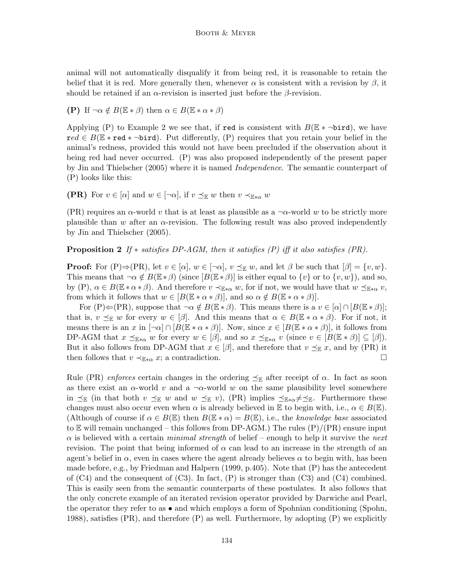animal will not automatically disqualify it from being red, it is reasonable to retain the belief that it is red. More generally then, whenever  $\alpha$  is consistent with a revision by  $\beta$ , it should be retained if an  $\alpha$ -revision is inserted just before the  $\beta$ -revision.

(P) If  $\neg \alpha \notin B(\mathbb{E} * \beta)$  then  $\alpha \in B(\mathbb{E} * \alpha * \beta)$ 

Applying (P) to Example 2 we see that, if red is consistent with  $B(E * \neg \text{bird})$ , we have  $\text{red} \in B(\mathbb{E} * \text{red} * \neg \text{bird})$ . Put differently, (P) requires that you retain your belief in the animal's redness, provided this would not have been precluded if the observation about it being red had never occurred. (P) was also proposed independently of the present paper by Jin and Thielscher (2005) where it is named *Independence*. The semantic counterpart of (P) looks like this:

(PR) For  $v \in [\alpha]$  and  $w \in [\neg \alpha]$ , if  $v \preceq_{\mathbb{E}} w$  then  $v \prec_{\mathbb{E} * \alpha} w$ 

(PR) requires an  $\alpha$ -world v that is at least as plausible as a  $\neg \alpha$ -world w to be strictly more plausible than w after an  $\alpha$ -revision. The following result was also proved independently by Jin and Thielscher (2005).

**Proposition 2** If  $*$  satisfies DP-AGM, then it satisfies (P) iff it also satisfies (PR).

**Proof:** For  $(P) \Rightarrow (PR)$ , let  $v \in [\alpha], w \in [\neg \alpha], v \leq_{\mathbb{E}} w$ , and let  $\beta$  be such that  $[\beta] = \{v, w\}$ . This means that  $\neg \alpha \notin B(\mathbb{E} * \beta)$  (since  $[B(\mathbb{E} * \beta)]$  is either equal to  $\{v\}$  or to  $\{v, w\}$ ), and so, by  $(P)$ ,  $\alpha \in B(\mathbb{E} * \alpha * \beta)$ . And therefore  $v \prec_{\mathbb{E} * \alpha} w$ , for if not, we would have that  $w \preceq_{\mathbb{E} * \alpha} v$ , from which it follows that  $w \in [B(\mathbb{E} * \alpha * \beta)],$  and so  $\alpha \notin B(\mathbb{E} * \alpha * \beta)].$ 

For  $(P) \leftarrow (PR)$ , suppose that  $\neg \alpha \notin B(\mathbb{E} * \beta)$ . This means there is a  $v \in [\alpha] \cap [B(\mathbb{E} * \beta)]$ ; that is,  $v \preceq_{\mathbb{E}} w$  for every  $w \in [\beta]$ . And this means that  $\alpha \in B(\mathbb{E} * \alpha * \beta)$ . For if not, it means there is an x in  $[\neg \alpha] \cap [B(\mathbb{E} * \alpha * \beta)]$ . Now, since  $x \in [B(\mathbb{E} * \alpha * \beta)]$ , it follows from DP-AGM that  $x \preceq_{\mathbb{E} * \alpha} w$  for every  $w \in [\beta]$ , and so  $x \preceq_{\mathbb{E} * \alpha} v$  (since  $v \in [B(\mathbb{E} * \beta)] \subseteq [\beta]$ ). But it also follows from DP-AGM that  $x \in [\beta]$ , and therefore that  $v \preceq_{\mathbb{E}} x$ , and by (PR) it then follows that  $v \prec_{\mathbb{E}*\alpha} x$ ; a contradiction.

Rule (PR) enforces certain changes in the ordering  $\preceq_{\mathbb{E}}$  after receipt of  $\alpha$ . In fact as soon as there exist an  $\alpha$ -world v and a  $\neg \alpha$ -world w on the same plausibility level somewhere in  $\preceq_{\mathbb{E}}$  (in that both  $v \preceq_{\mathbb{E}} w$  and  $w \preceq_{\mathbb{E}} v$ ), (PR) implies  $\preceq_{\mathbb{E}*\alpha} \neq \preceq_{\mathbb{E}}$ . Furthermore these changes must also occur even when  $\alpha$  is already believed in E to begin with, i.e.,  $\alpha \in B(\mathbb{E})$ . (Although of course if  $\alpha \in B(\mathbb{E})$  then  $B(\mathbb{E} * \alpha) = B(\mathbb{E})$ , i.e., the knowledge base associated to E will remain unchanged – this follows from DP-AGM.) The rules  $(P)/(PR)$  ensure input  $\alpha$  is believed with a certain minimal strength of belief – enough to help it survive the next revision. The point that being informed of  $\alpha$  can lead to an increase in the strength of an agent's belief in  $\alpha$ , even in cases where the agent already believes  $\alpha$  to begin with, has been made before, e.g., by Friedman and Halpern (1999, p.405). Note that (P) has the antecedent of  $(C4)$  and the consequent of  $(C3)$ . In fact,  $(P)$  is stronger than  $(C3)$  and  $(C4)$  combined. This is easily seen from the semantic counterparts of these postulates. It also follows that the only concrete example of an iterated revision operator provided by Darwiche and Pearl, the operator they refer to as • and which employs a form of Spohnian conditioning (Spohn, 1988), satisfies (PR), and therefore  $(P)$  as well. Furthermore, by adopting  $(P)$  we explicitly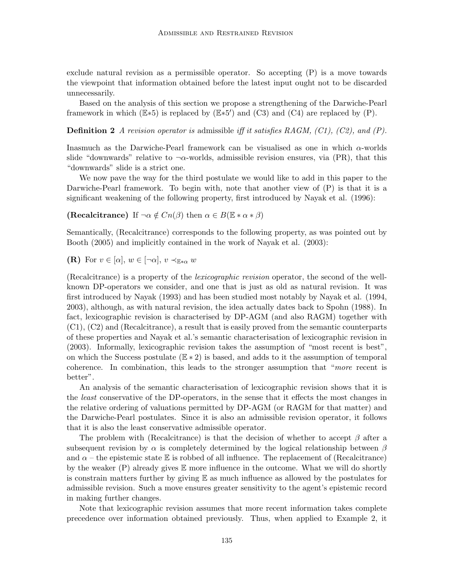exclude natural revision as a permissible operator. So accepting (P) is a move towards the viewpoint that information obtained before the latest input ought not to be discarded unnecessarily.

Based on the analysis of this section we propose a strengthening of the Darwiche-Pearl framework in which  $(E*5)$  is replaced by  $(E*5')$  and  $(C3)$  and  $(C4)$  are replaced by  $(P)$ .

**Definition 2** A revision operator is admissible iff it satisfies RAGM,  $(C1)$ ,  $(C2)$ , and  $(P)$ .

Inasmuch as the Darwiche-Pearl framework can be visualised as one in which  $\alpha$ -worlds slide "downwards" relative to  $\neg \alpha$ -worlds, admissible revision ensures, via (PR), that this "downwards" slide is a strict one.

We now pave the way for the third postulate we would like to add in this paper to the Darwiche-Pearl framework. To begin with, note that another view of (P) is that it is a significant weakening of the following property, first introduced by Nayak et al. (1996):

(Recalcitrance) If  $\neg \alpha \notin C_n(\beta)$  then  $\alpha \in B(\mathbb{E} * \alpha * \beta)$ 

Semantically, (Recalcitrance) corresponds to the following property, as was pointed out by Booth (2005) and implicitly contained in the work of Nayak et al. (2003):

(R) For  $v \in [\alpha], w \in [\neg \alpha], v \prec_{\mathbb{E} * \alpha} w$ 

(Recalcitrance) is a property of the lexicographic revision operator, the second of the wellknown DP-operators we consider, and one that is just as old as natural revision. It was first introduced by Nayak (1993) and has been studied most notably by Nayak et al. (1994, 2003), although, as with natural revision, the idea actually dates back to Spohn (1988). In fact, lexicographic revision is characterised by DP-AGM (and also RAGM) together with (C1), (C2) and (Recalcitrance), a result that is easily proved from the semantic counterparts of these properties and Nayak et al.'s semantic characterisation of lexicographic revision in (2003). Informally, lexicographic revision takes the assumption of "most recent is best", on which the Success postulate  $(E * 2)$  is based, and adds to it the assumption of temporal coherence. In combination, this leads to the stronger assumption that "more recent is better".

An analysis of the semantic characterisation of lexicographic revision shows that it is the least conservative of the DP-operators, in the sense that it effects the most changes in the relative ordering of valuations permitted by DP-AGM (or RAGM for that matter) and the Darwiche-Pearl postulates. Since it is also an admissible revision operator, it follows that it is also the least conservative admissible operator.

The problem with (Recalcitrance) is that the decision of whether to accept  $\beta$  after a subsequent revision by  $\alpha$  is completely determined by the logical relationship between  $\beta$ and  $\alpha$  – the epistemic state E is robbed of all influence. The replacement of (Recalcitrance) by the weaker  $(P)$  already gives  $E$  more influence in the outcome. What we will do shortly is constrain matters further by giving  $E$  as much influence as allowed by the postulates for admissible revision. Such a move ensures greater sensitivity to the agent's epistemic record in making further changes.

Note that lexicographic revision assumes that more recent information takes complete precedence over information obtained previously. Thus, when applied to Example 2, it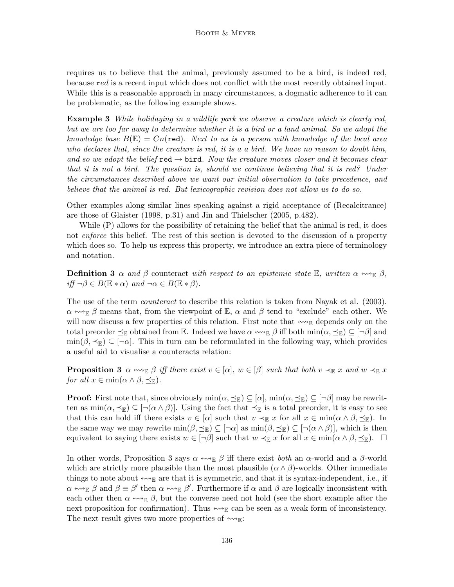requires us to believe that the animal, previously assumed to be a bird, is indeed red, because red is a recent input which does not conflict with the most recently obtained input. While this is a reasonable approach in many circumstances, a dogmatic adherence to it can be problematic, as the following example shows.

**Example 3** While holidaying in a wildlife park we observe a creature which is clearly red, but we are too far away to determine whether it is a bird or a land animal. So we adopt the knowledge base  $B(\mathbb{E}) = Cn(\text{red})$ . Next to us is a person with knowledge of the local area who declares that, since the creature is red, it is a a bird. We have no reason to doubt him, and so we adopt the belief red  $\rightarrow$  bird. Now the creature moves closer and it becomes clear that it is not a bird. The question is, should we continue believing that it is red? Under the circumstances described above we want our initial observation to take precedence, and believe that the animal is red. But lexicographic revision does not allow us to do so.

Other examples along similar lines speaking against a rigid acceptance of (Recalcitrance) are those of Glaister (1998, p.31) and Jin and Thielscher (2005, p.482).

While  $(P)$  allows for the possibility of retaining the belief that the animal is red, it does not *enforce* this belief. The rest of this section is devoted to the discussion of a property which does so. To help us express this property, we introduce an extra piece of terminology and notation.

**Definition 3**  $\alpha$  and  $\beta$  counteract with respect to an epistemic state E, written  $\alpha \leftrightarrow_{\mathbb{R}} \beta$ ,  $iff \neg \beta \in B(\mathbb{E} * \alpha)$  and  $\neg \alpha \in B(\mathbb{E} * \beta)$ .

The use of the term *counteract* to describe this relation is taken from Nayak et al. (2003).  $\alpha \leftrightarrow_{\mathbb{E}} \beta$  means that, from the viewpoint of  $\mathbb{E}$ ,  $\alpha$  and  $\beta$  tend to "exclude" each other. We will now discuss a few properties of this relation. First note that  $\ll_{\mathbb{E}}$  depends only on the total preorder  $\preceq_{\mathbb{E}}$  obtained from  $\mathbb{E}$ . Indeed we have  $\alpha \leftrightarrow_{\mathbb{E}} \beta$  iff both  $\min(\alpha, \preceq_{\mathbb{E}}) \subseteq [\neg \beta]$  and  $\min(\beta, \preceq_{\mathbb{E}}) \subseteq [\neg \alpha]$ . This in turn can be reformulated in the following way, which provides a useful aid to visualise a counteracts relation:

**Proposition 3**  $\alpha \leftrightarrow_{\mathbb{E}} \beta$  iff there exist  $v \in [\alpha], w \in [\beta]$  such that both  $v \prec_{\mathbb{E}} x$  and  $w \prec_{\mathbb{E}} x$ for all  $x \in \min(\alpha \wedge \beta, \preceq_{\mathbb{E}})$ .

**Proof:** First note that, since obviously  $\min(\alpha, \preceq_{\mathbb{E}}) \subseteq [\alpha], \min(\alpha, \preceq_{\mathbb{E}}) \subseteq [\neg \beta]$  may be rewritten as  $\min(\alpha, \preceq_{\mathbb{E}}) \subseteq [\neg(\alpha \wedge \beta)]$ . Using the fact that  $\preceq_{\mathbb{E}}$  is a total preorder, it is easy to see that this can hold iff there exists  $v \in [\alpha]$  such that  $v \prec_{\mathbb{E}} x$  for all  $x \in \min(\alpha \wedge \beta, \preceq_{\mathbb{E}})$ . In the same way we may rewrite  $\min(\beta, \preceq_{\mathbb{E}}) \subseteq [\neg \alpha]$  as  $\min(\beta, \preceq_{\mathbb{E}}) \subseteq [\neg (\alpha \wedge \beta)],$  which is then equivalent to saying there exists  $w \in [\neg \beta]$  such that  $w \prec_{\mathbb{E}} x$  for all  $x \in \min(\alpha \wedge \beta, \preceq_{\mathbb{E}})$ .  $\square$ 

In other words, Proposition 3 says  $\alpha \leftrightarrow_{\mathbb{E}} \beta$  iff there exist both an  $\alpha$ -world and a  $\beta$ -world which are strictly more plausible than the most plausible  $(\alpha \wedge \beta)$ -worlds. Other immediate things to note about  $\ll_{\mathbb{F}}$  are that it is symmetric, and that it is syntax-independent, i.e., if  $\alpha \leftrightarrow_{\mathbb{E}} \beta$  and  $\beta \equiv \beta'$  then  $\alpha \leftrightarrow_{\mathbb{E}} \beta'$ . Furthermore if  $\alpha$  and  $\beta$  are logically inconsistent with each other then  $\alpha \leftrightarrow_{\mathbb{E}} \beta$ , but the converse need not hold (see the short example after the next proposition for confirmation). Thus  $\ll \mathbb{R}$  can be seen as a weak form of inconsistency. The next result gives two more properties of  $\lll$ .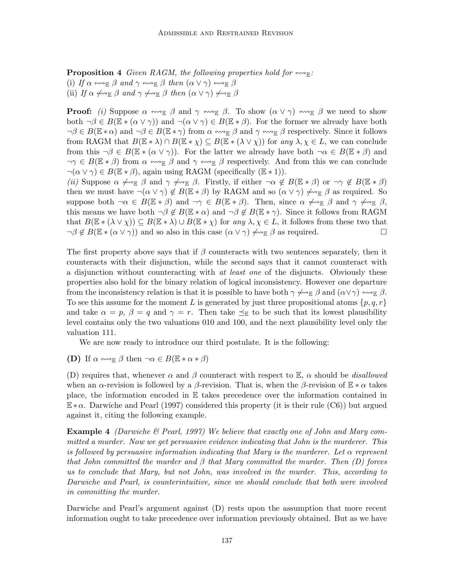**Proposition 4** Given RAGM, the following properties hold for  $\leftrightarrow$ <sub>E</sub>:

- (i) If  $\alpha \leftrightarrow_{\mathbb{E}} \beta$  and  $\gamma \leftrightarrow_{\mathbb{E}} \beta$  then  $(\alpha \vee \gamma) \leftrightarrow_{\mathbb{E}} \beta$
- (ii) If  $\alpha \not\leftrightarrow_{\mathbb{E}} \beta$  and  $\gamma \not\leftrightarrow_{\mathbb{E}} \beta$  then  $(\alpha \vee \gamma) \not\leftrightarrow_{\mathbb{E}} \beta$

**Proof:** (i) Suppose  $\alpha \leftrightarrow_{\mathbb{R}} \beta$  and  $\gamma \leftrightarrow_{\mathbb{R}} \beta$ . To show  $(\alpha \vee \gamma) \leftrightarrow_{\mathbb{R}} \beta$  we need to show both  $\neg \beta \in B(\mathbb{E} * (\alpha \vee \gamma))$  and  $\neg (\alpha \vee \gamma) \in B(\mathbb{E} * \beta)$ . For the former we already have both  $\neg \beta \in B(\mathbb{E} * \alpha)$  and  $\neg \beta \in B(\mathbb{E} * \gamma)$  from  $\alpha \leftrightarrow_{\mathbb{E}} \beta$  and  $\gamma \leftrightarrow_{\mathbb{E}} \beta$  respectively. Since it follows from RAGM that  $B(\mathbb{E} * \lambda) \cap B(\mathbb{E} * \chi) \subseteq B(\mathbb{E} * (\lambda \vee \chi))$  for any  $\lambda, \chi \in L$ , we can conclude from this  $\neg \beta \in B(\mathbb{E} * (\alpha \vee \gamma))$ . For the latter we already have both  $\neg \alpha \in B(\mathbb{E} * \beta)$  and  $\neg \gamma \in B(\mathbb{E} * \beta)$  from  $\alpha \leftrightarrow_{\mathbb{E}} \beta$  and  $\gamma \leftrightarrow_{\mathbb{E}} \beta$  respectively. And from this we can conclude  $\neg(\alpha \vee \gamma) \in B(\mathbb{E} * \beta)$ , again using RAGM (specifically  $(\mathbb{E} * 1)$ ).

(ii) Suppose  $\alpha \not\rightsquigarrow_{\mathbb{E}} \beta$  and  $\gamma \not\rightsquigarrow_{\mathbb{E}} \beta$ . Firstly, if either  $\neg \alpha \not\in B(\mathbb{E} * \beta)$  or  $\neg \gamma \not\in B(\mathbb{E} * \beta)$ then we must have  $\neg(\alpha \vee \gamma) \notin B(\mathbb{E} * \beta)$  by RAGM and so  $(\alpha \vee \gamma) \not\leftrightarrow_{\mathbb{E}} \beta$  as required. So suppose both  $\neg \alpha \in B(\mathbb{E} * \beta)$  and  $\neg \gamma \in B(\mathbb{E} * \beta)$ . Then, since  $\alpha \not\rightsquigarrow_{\mathbb{E}} \beta$  and  $\gamma \not\rightsquigarrow_{\mathbb{E}} \beta$ , this means we have both  $\neg \beta \notin B(\mathbb{E} * \alpha)$  and  $\neg \beta \notin B(\mathbb{E} * \gamma)$ . Since it follows from RAGM that  $B(\mathbb{E} * (\lambda \vee \chi)) \subseteq B(\mathbb{E} * \lambda) \cup B(\mathbb{E} * \chi)$  for any  $\lambda, \chi \in L$ , it follows from these two that  $\neg \beta \notin B(\mathbb{E} * (\alpha \vee \gamma))$  and so also in this case  $(\alpha \vee \gamma) \not\rightsquigarrow_{\mathbb{E}} \beta$  as required.

The first property above says that if  $\beta$  counteracts with two sentences separately, then it counteracts with their disjunction, while the second says that it cannot counteract with a disjunction without counteracting with at least one of the disjuncts. Obviously these properties also hold for the binary relation of logical inconsistency. However one departure from the inconsistency relation is that it is possible to have both  $\gamma \nleftrightarrow_{\mathbb{E}} \beta$  and  $(\alpha \vee \gamma) \nleftrightarrow_{\mathbb{E}} \beta$ . To see this assume for the moment L is generated by just three propositional atoms  $\{p, q, r\}$ and take  $\alpha = p$ ,  $\beta = q$  and  $\gamma = r$ . Then take  $\preceq_{\mathbb{E}}$  to be such that its lowest plausibility level contains only the two valuations 010 and 100, and the next plausibility level only the valuation 111.

We are now ready to introduce our third postulate. It is the following:

(D) If  $\alpha \leftrightarrow_{\mathbb{R}} \beta$  then  $\neg \alpha \in B(\mathbb{E} * \alpha * \beta)$ 

(D) requires that, whenever  $\alpha$  and  $\beta$  counteract with respect to  $\mathbb{E}$ ,  $\alpha$  should be *disallowed* when an  $\alpha$ -revision is followed by a  $\beta$ -revision. That is, when the  $\beta$ -revision of  $\mathbb{E} * \alpha$  takes place, the information encoded in E takes precedence over the information contained in  $E*\alpha$ . Darwiche and Pearl (1997) considered this property (it is their rule (C6)) but argued against it, citing the following example.

**Example 4** (Darwiche  $\mathcal{B}$  Pearl, 1997) We believe that exactly one of John and Mary committed a murder. Now we get persuasive evidence indicating that John is the murderer. This is followed by persuasive information indicating that Mary is the murderer. Let  $\alpha$  represent that John committed the murder and  $\beta$  that Mary committed the murder. Then  $(D)$  forces us to conclude that Mary, but not John, was involved in the murder. This, according to Darwiche and Pearl, is counterintuitive, since we should conclude that both were involved in committing the murder.

Darwiche and Pearl's argument against (D) rests upon the assumption that more recent information ought to take precedence over information previously obtained. But as we have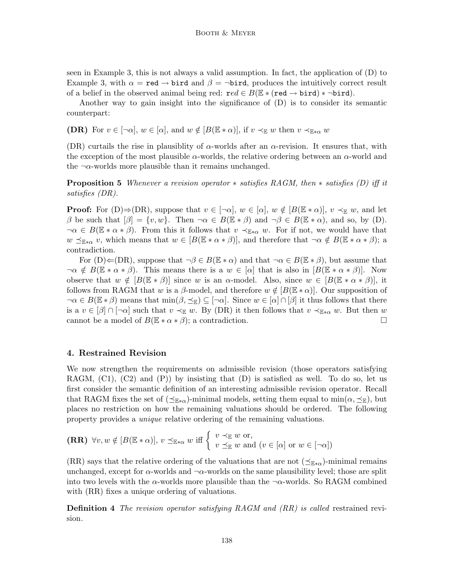seen in Example 3, this is not always a valid assumption. In fact, the application of (D) to Example 3, with  $\alpha = \text{red} \rightarrow \text{bird}$  and  $\beta = \neg \text{bird}$ , produces the intuitively correct result of a belief in the observed animal being red:  $\mathbf{r} \in B(\mathbb{E} * (\mathbf{r} \in \mathbf{d} \to \mathbf{bird}) * \neg \mathbf{bird}).$ 

Another way to gain insight into the significance of (D) is to consider its semantic counterpart:

**(DR)** For  $v \in [\neg \alpha], w \in [\alpha],$  and  $w \notin [B(\mathbb{E} * \alpha)],$  if  $v \prec_{\mathbb{E}} w$  then  $v \prec_{\mathbb{E} * \alpha} w$ 

(DR) curtails the rise in plausiblity of  $\alpha$ -worlds after an  $\alpha$ -revision. It ensures that, with the exception of the most plausible  $\alpha$ -worlds, the relative ordering between an  $\alpha$ -world and the  $\neg \alpha$ -worlds more plausible than it remains unchanged.

**Proposition 5** Whenever a revision operator  $*$  satisfies RAGM, then  $*$  satisfies (D) iff it satisfies (DR).

**Proof:** For  $(D) \Rightarrow (DR)$ , suppose that  $v \in [\neg \alpha], w \in [\alpha], w \notin [B(\mathbb{E} * \alpha)], v \prec_{\mathbb{E}} w$ , and let β be such that  $\beta$  = {v, w}. Then  $\neg \alpha \in B(\mathbb{E} * \beta)$  and  $\neg \beta \in B(\mathbb{E} * \alpha)$ , and so, by (D).  $\neg \alpha \in B(\mathbb{E} * \alpha * \beta)$ . From this it follows that  $v \prec_{\mathbb{E} * \alpha} w$ . For if not, we would have that  $w \preceq_{\mathbb{E} * \alpha} v$ , which means that  $w \in [B(\mathbb{E} * \alpha * \beta)]$ , and therefore that  $\neg \alpha \notin B(\mathbb{E} * \alpha * \beta)$ ; a contradiction.

For  $(D) \leftarrow (DR)$ , suppose that  $\neg \beta \in B(\mathbb{E} * \alpha)$  and that  $\neg \alpha \in B(\mathbb{E} * \beta)$ , but assume that  $\neg \alpha \notin B(\mathbb{E} * \alpha * \beta)$ . This means there is a  $w \in [\alpha]$  that is also in  $[B(\mathbb{E} * \alpha * \beta)]$ . Now observe that  $w \notin [B(\mathbb{E} * \beta)]$  since w is an  $\alpha$ -model. Also, since  $w \in [B(\mathbb{E} * \alpha * \beta)]$ , it follows from RAGM that w is a  $\beta$ -model, and therefore  $w \notin [B(\mathbb{E} * \alpha)]$ . Our supposition of  $\neg \alpha \in B(\mathbb{E} * \beta)$  means that  $\min(\beta, \preceq_{\mathbb{E}}) \subseteq [\neg \alpha]$ . Since  $w \in [\alpha] \cap [\beta]$  it thus follows that there is a  $v \in [\beta] \cap [\neg \alpha]$  such that  $v \prec_{\mathbb{E}} w$ . By (DR) it then follows that  $v \prec_{\mathbb{E} * \alpha} w$ . But then w cannot be a model of  $B(\mathbb{E} * \alpha * \beta)$ ; a contradiction.

### 4. Restrained Revision

We now strengthen the requirements on admissible revision (those operators satisfying RAGM,  $(C1)$ ,  $(C2)$  and  $(P)$ ) by insisting that  $(D)$  is satisfied as well. To do so, let us first consider the semantic definition of an interesting admissible revision operator. Recall that RAGM fixes the set of  $(\preceq_{\mathbb{E}*\alpha})$ -minimal models, setting them equal to min $(\alpha, \preceq_{\mathbb{E}})$ , but places no restriction on how the remaining valuations should be ordered. The following property provides a unique relative ordering of the remaining valuations.

(RR) 
$$
\forall v, w \notin [B(\mathbb{E} * \alpha)], v \preceq_{\mathbb{E} * \alpha} w
$$
 iff  $\begin{cases} v \prec_{\mathbb{E}} w \text{ or,} \\ v \preceq_{\mathbb{E}} w \text{ and } (v \in [\alpha] \text{ or } w \in [\neg \alpha]) \end{cases}$ 

(RR) says that the relative ordering of the valuations that are not  $(\preceq_{\mathbb{E}*\alpha})$ -minimal remains unchanged, except for  $\alpha$ -worlds and  $\neg \alpha$ -worlds on the same plausibility level; those are split into two levels with the  $\alpha$ -worlds more plausible than the  $\neg \alpha$ -worlds. So RAGM combined with  $(RR)$  fixes a unique ordering of valuations.

**Definition 4** The revision operator satisfying RAGM and (RR) is called restrained revision.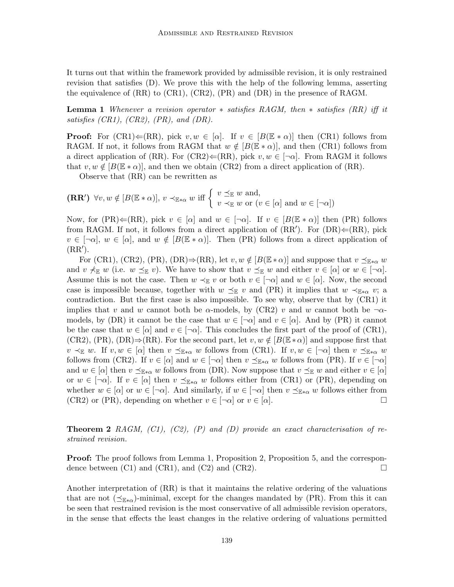It turns out that within the framework provided by admissible revision, it is only restrained revision that satisfies (D). We prove this with the help of the following lemma, asserting the equivalence of (RR) to (CR1), (CR2), (PR) and (DR) in the presence of RAGM.

**Lemma 1** Whenever a revision operator  $*$  satisfies RAGM, then  $*$  satisfies (RR) iff it satisfies  $(CR1)$ ,  $(CR2)$ ,  $(PR)$ , and  $(DR)$ .

**Proof:** For  $(CR1) \leftarrow (RR)$ , pick  $v, w \in [\alpha]$ . If  $v \in [B(\mathbb{E} * \alpha)]$  then  $(CR1)$  follows from RAGM. If not, it follows from RAGM that  $w \notin [B(\mathbb{E} * \alpha)]$ , and then (CR1) follows from a direct application of (RR). For (CR2) $\Leftarrow$ (RR), pick  $v, w \in [\neg \alpha]$ . From RAGM it follows that  $v, w \notin [B(\mathbb{E} * \alpha)]$ , and then we obtain (CR2) from a direct application of (RR).

Observe that (RR) can be rewritten as

 $(\mathbf{RR'}) \ \forall v, w \notin [B(\mathbb{E} * \alpha)], v \prec_{\mathbb{E} * \alpha} w \text{ iff } \begin{cases} v \preceq_{\mathbb{E}} w \text{ and,} \\ v \prec_{\mathbb{E} w} w \text{ or } (v \in \mathbb{E} * \alpha) \end{cases}$  $v \prec_{\mathbb{E}} w$  or  $(v \in [\alpha] \text{ and } w \in [\neg \alpha])$ 

Now, for (PR) $\Leftarrow$ (RR), pick  $v \in [\alpha]$  and  $w \in [\neg \alpha]$ . If  $v \in [B(\mathbb{E} * \alpha)]$  then (PR) follows from RAGM. If not, it follows from a direct application of  $(RR')$ . For  $(DR) \leftarrow (RR)$ , pick  $v \in [\neg \alpha], w \in [\alpha],$  and  $w \notin [B(\mathbb{E} * \alpha)].$  Then (PR) follows from a direct application of  $(RR^{\prime}).$ 

For (CR1), (CR2), (PR), (DR) $\Rightarrow$ (RR), let  $v, w \notin [B(\mathbb{E} * \alpha)]$  and suppose that  $v \preceq_{\mathbb{E} * \alpha} w$ and  $v \nless_\mathbb{E} w$  (i.e.  $w \preceq_\mathbb{E} v$ ). We have to show that  $v \preceq_\mathbb{E} w$  and either  $v \in [\alpha]$  or  $w \in [\neg \alpha]$ . Assume this is not the case. Then  $w \prec_{\mathbb{E}} v$  or both  $v \in [\neg \alpha]$  and  $w \in [\alpha]$ . Now, the second case is impossible because, together with  $w \preceq_{\mathbb{E}} v$  and (PR) it implies that  $w \preceq_{\mathbb{E}*\alpha} v$ ; a contradiction. But the first case is also impossible. To see why, observe that by (CR1) it implies that v and w cannot both be  $\alpha$ -models, by (CR2) v and w cannot both be  $\neg \alpha$ models, by (DR) it cannot be the case that  $w \in [\neg \alpha]$  and  $v \in [\alpha]$ . And by (PR) it cannot be the case that  $w \in [\alpha]$  and  $v \in [\neg \alpha]$ . This concludes the first part of the proof of (CR1), (CR2), (PR), (DR)⇒(RR). For the second part, let  $v, w \notin [B(\mathbb{E} * \alpha)]$  and suppose first that  $v \prec_{\mathbb{E}} w$ . If  $v, w \in [\alpha]$  then  $v \preceq_{\mathbb{E} * \alpha} w$  follows from (CR1). If  $v, w \in [\neg \alpha]$  then  $v \preceq_{\mathbb{E} * \alpha} w$ follows from (CR2). If  $v \in [\alpha]$  and  $w \in [\neg \alpha]$  then  $v \preceq_{\mathbb{E} * \alpha} w$  follows from (PR). If  $v \in [\neg \alpha]$ and  $w \in [\alpha]$  then  $v \preceq_{\mathbb{E}*\alpha} w$  follows from (DR). Now suppose that  $v \preceq_{\mathbb{E}} w$  and either  $v \in [\alpha]$ or  $w \in [\neg \alpha]$ . If  $v \in [\alpha]$  then  $v \preceq_{\mathbb{E} * \alpha} w$  follows either from (CR1) or (PR), depending on whether  $w \in [\alpha]$  or  $w \in [\neg \alpha]$ . And similarly, if  $w \in [\neg \alpha]$  then  $v \preceq_{\mathbb{E} * \alpha} w$  follows either from (CR2) or (PR), depending on whether  $v \in [\neg \alpha]$  or  $v \in [\alpha]$ .

**Theorem 2** RAGM,  $(C1)$ ,  $(C2)$ ,  $(P)$  and  $(D)$  provide an exact characterisation of restrained revision.

**Proof:** The proof follows from Lemma 1, Proposition 2, Proposition 5, and the correspondence between  $(C1)$  and  $(CR1)$ , and  $(C2)$  and  $(CR2)$ .

Another interpretation of (RR) is that it maintains the relative ordering of the valuations that are not  $(\preceq_{\mathbb{R}^*})$ -minimal, except for the changes mandated by (PR). From this it can be seen that restrained revision is the most conservative of all admissible revision operators, in the sense that effects the least changes in the relative ordering of valuations permitted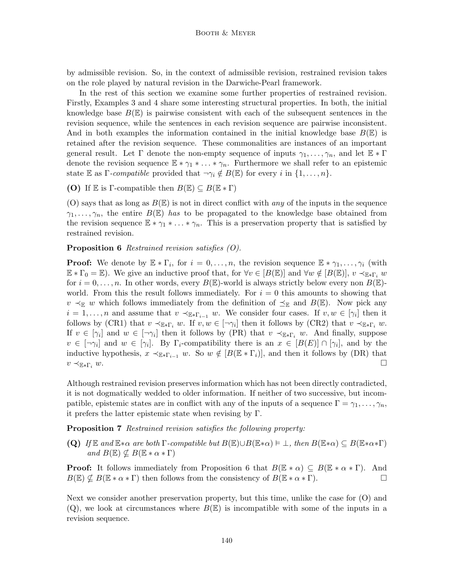by admissible revision. So, in the context of admissible revision, restrained revision takes on the role played by natural revision in the Darwiche-Pearl framework.

In the rest of this section we examine some further properties of restrained revision. Firstly, Examples 3 and 4 share some interesting structural properties. In both, the initial knowledge base  $B(\mathbb{E})$  is pairwise consistent with each of the subsequent sentences in the revision sequence, while the sentences in each revision sequence are pairwise inconsistent. And in both examples the information contained in the initial knowledge base  $B(\mathbb{E})$  is retained after the revision sequence. These commonalities are instances of an important general result. Let  $\Gamma$  denote the non-empty sequence of inputs  $\gamma_1, \ldots, \gamma_n$ , and let  $\mathbb{E} * \Gamma$ denote the revision sequence  $\mathbb{E} * \gamma_1 * \ldots * \gamma_n$ . Furthermore we shall refer to an epistemic state E as  $\Gamma$ -compatible provided that  $\neg \gamma_i \notin B(\mathbb{E})$  for every i in  $\{1, \ldots, n\}$ .

(O) If E is Γ-compatible then  $B(\mathbb{E}) \subseteq B(\mathbb{E} * \Gamma)$ 

(O) says that as long as  $B(\mathbb{E})$  is not in direct conflict with any of the inputs in the sequence  $\gamma_1, \ldots, \gamma_n$ , the entire  $B(\mathbb{E})$  has to be propagated to the knowledge base obtained from the revision sequence  $\mathbb{E} * \gamma_1 * \ldots * \gamma_n$ . This is a preservation property that is satisfied by restrained revision.

#### **Proposition 6** Restrained revision satisfies  $(0)$ .

**Proof:** We denote by  $\mathbb{E} * \Gamma_i$ , for  $i = 0, \ldots, n$ , the revision sequence  $\mathbb{E} * \gamma_1, \ldots, \gamma_i$  (with  $\mathbb{E} * \Gamma_0 = \mathbb{E}$ . We give an inductive proof that, for  $\forall v \in [B(\mathbb{E})]$  and  $\forall w \notin [B(\mathbb{E})]$ ,  $v \prec_{\mathbb{E} * \Gamma_i} w$ for  $i = 0, \ldots, n$ . In other words, every  $B(\mathbb{E})$ -world is always strictly below every non  $B(\mathbb{E})$ world. From this the result follows immediately. For  $i = 0$  this amounts to showing that  $v \prec_{\mathbb{E}} w$  which follows immediately from the definition of  $\preceq_{\mathbb{E}}$  and  $B(\mathbb{E})$ . Now pick any  $i = 1, \ldots, n$  and assume that  $v \prec_{\mathbb{E} * \Gamma_{i-1}} w$ . We consider four cases. If  $v, w \in [\gamma_i]$  then it follows by (CR1) that  $v \prec_{\mathbb{E} * \Gamma_i} w$ . If  $v, w \in [\neg \gamma_i]$  then it follows by (CR2) that  $v \prec_{\mathbb{E} * \Gamma_i} w$ . If  $v \in [\gamma_i]$  and  $w \in [\neg \gamma_i]$  then it follows by (PR) that  $v \prec_{\mathbb{E} * \Gamma_i} w$ . And finally, suppose  $v \in [\neg \gamma_i]$  and  $w \in [\gamma_i]$ . By  $\Gamma_i$ -compatibility there is an  $x \in [B(E)] \cap [\gamma_i]$ , and by the inductive hypothesis,  $x \prec_{\mathbb{E} * \Gamma_{i-1}} w$ . So  $w \notin [B(\mathbb{E} * \Gamma_i)]$ , and then it follows by (DR) that  $v \prec_{\mathbb{E} * \Gamma_i} w.$ 

Although restrained revision preserves information which has not been directly contradicted, it is not dogmatically wedded to older information. If neither of two successive, but incompatible, epistemic states are in conflict with any of the inputs of a sequence  $\Gamma = \gamma_1, \ldots, \gamma_n$ , it prefers the latter epistemic state when revising by Γ.

Proposition 7 Restrained revision satisfies the following property:

**(Q)** If  $\mathbb{E}$  and  $\mathbb{E} * \alpha$  are both  $\Gamma$ -compatible but  $B(\mathbb{E}) \cup B(\mathbb{E} * \alpha) \models \bot$ , then  $B(\mathbb{E} * \alpha) \subseteq B(\mathbb{E} * \alpha * \Gamma)$ and  $B(\mathbb{E}) \nsubseteq B(\mathbb{E} * \alpha * \Gamma)$ 

**Proof:** It follows immediately from Proposition 6 that  $B(\mathbb{E} * \alpha) \subseteq B(\mathbb{E} * \alpha * \Gamma)$ . And  $B(\mathbb{E}) \nsubseteq B(\mathbb{E} * \alpha * \Gamma)$  then follows from the consistency of  $B(\mathbb{E} * \alpha * \Gamma)$ .

Next we consider another preservation property, but this time, unlike the case for (O) and  $(Q)$ , we look at circumstances where  $B(\mathbb{E})$  is incompatible with some of the inputs in a revision sequence.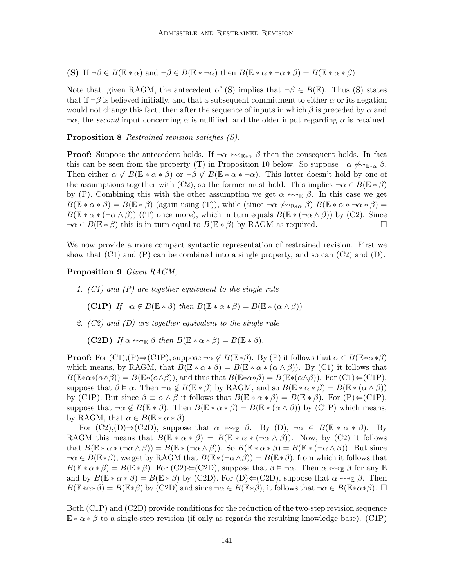(S) If  $\neg \beta \in B(\mathbb{E} * \alpha)$  and  $\neg \beta \in B(\mathbb{E} * \alpha)$  then  $B(\mathbb{E} * \alpha * \alpha * \beta) = B(\mathbb{E} * \alpha * \beta)$ 

Note that, given RAGM, the antecedent of (S) implies that  $\neg \beta \in B(\mathbb{E})$ . Thus (S) states that if  $\neg \beta$  is believed initially, and that a subsequent commitment to either  $\alpha$  or its negation would not change this fact, then after the sequence of inputs in which  $\beta$  is preceded by  $\alpha$  and  $\neg \alpha$ , the second input concerning  $\alpha$  is nullified, and the older input regarding  $\alpha$  is retained.

Proposition 8 Restrained revision satisfies (S).

**Proof:** Suppose the antecedent holds. If  $\neg \alpha \leftrightarrow_{\mathbb{E}*\alpha} \beta$  then the consequent holds. In fact this can be seen from the property (T) in Proposition 10 below. So suppose  $\neg \alpha \nleftrightarrow_{\mathbb{E}*\alpha} \beta$ . Then either  $\alpha \notin B(\mathbb{E} * \alpha * \beta)$  or  $\neg \beta \notin B(\mathbb{E} * \alpha * \neg \alpha)$ . This latter doesn't hold by one of the assumptions together with (C2), so the former must hold. This implies  $\neg \alpha \in B(\mathbb{E} * \beta)$ by (P). Combining this with the other assumption we get  $\alpha \leftrightarrow_{\mathbb{E}} \beta$ . In this case we get  $B(\mathbb{E} * \alpha * \beta) = B(\mathbb{E} * \beta)$  (again using (T)), while (since  $\neg \alpha \not\rightsquigarrow_{\mathbb{E} * \alpha} \beta$ )  $B(\mathbb{E} * \alpha * \neg \alpha * \beta) =$  $B(\mathbb{E} * \alpha * (\neg \alpha \wedge \beta))$  ((T) once more), which in turn equals  $B(\mathbb{E} * (\neg \alpha \wedge \beta))$  by (C2). Since  $\neg \alpha \in B(\mathbb{E} * \beta)$  this is in turn equal to  $B(\mathbb{E} * \beta)$  by RAGM as required.

We now provide a more compact syntactic representation of restrained revision. First we show that  $(C1)$  and  $(P)$  can be combined into a single property, and so can  $(C2)$  and  $(D)$ .

Proposition 9 Given RAGM,

1. (C1) and (P) are together equivalent to the single rule

(C1P) If  $\neg \alpha \notin B(\mathbb{E} * \beta)$  then  $B(\mathbb{E} * \alpha * \beta) = B(\mathbb{E} * (\alpha \wedge \beta))$ 

2. (C2) and (D) are together equivalent to the single rule

**(C2D)** If  $\alpha \leftrightarrow_{\mathbb{R}} \beta$  then  $B(\mathbb{E} * \alpha * \beta) = B(\mathbb{E} * \beta)$ .

**Proof:** For  $(Cl),(P) \Rightarrow (CIP)$ , suppose  $\neg \alpha \notin B(\mathbb{E}*\beta)$ . By  $(P)$  it follows that  $\alpha \in B(\mathbb{E}*\alpha*\beta)$ which means, by RAGM, that  $B(\mathbb{E} * \alpha * \beta) = B(\mathbb{E} * \alpha * (\alpha \wedge \beta))$ . By (C1) it follows that  $B(\mathbb{E} * \alpha * (\alpha \wedge \beta)) = B(\mathbb{E} * (\alpha \wedge \beta))$ , and thus that  $B(\mathbb{E} * \alpha * \beta) = B(\mathbb{E} * (\alpha \wedge \beta))$ . For  $(\text{C1}) \Leftarrow (\text{C1P})$ , suppose that  $\beta \models \alpha$ . Then  $\neg \alpha \notin B(\mathbb{E} * \beta)$  by RAGM, and so  $B(\mathbb{E} * \alpha * \beta) = B(\mathbb{E} * (\alpha \wedge \beta))$ by (C1P). But since  $\beta \equiv \alpha \wedge \beta$  it follows that  $B(\mathbb{E} * \alpha * \beta) = B(\mathbb{E} * \beta)$ . For  $(P) \Leftarrow (C1P)$ , suppose that  $\neg \alpha \notin B(\mathbb{E} * \beta)$ . Then  $B(\mathbb{E} * \alpha * \beta) = B(\mathbb{E} * (\alpha \wedge \beta))$  by (C1P) which means, by RAGM, that  $\alpha \in B(\mathbb{E} * \alpha * \beta)$ .

For  $(C2),(D) \Rightarrow (C2D)$ , suppose that  $\alpha \leftrightarrow_{\mathbb{E}} \beta$ . By  $(D)$ ,  $\neg \alpha \in B(\mathbb{E} * \alpha * \beta)$ . By RAGM this means that  $B(\mathbb{E} * \alpha * \beta) = B(\mathbb{E} * \alpha * (\neg \alpha \wedge \beta))$ . Now, by (C2) it follows that  $B(\mathbb{E} * \alpha * (\neg \alpha \wedge \beta)) = B(\mathbb{E} * (\neg \alpha \wedge \beta))$ . So  $B(\mathbb{E} * \alpha * \beta) = B(\mathbb{E} * (\neg \alpha \wedge \beta))$ . But since  $\neg \alpha \in B(\mathbb{E}*\beta)$ , we get by RAGM that  $B(\mathbb{E}*(\neg \alpha \wedge \beta)) = B(\mathbb{E}*\beta)$ , from which it follows that  $B(\mathbb{E} * \alpha * \beta) = B(\mathbb{E} * \beta)$ . For  $(C2) \Leftarrow (C2D)$ , suppose that  $\beta \models \neg \alpha$ . Then  $\alpha \leftrightarrow_{\mathbb{E}} \beta$  for any  $\mathbb{E}$ and by  $B(\mathbb{E} * \alpha * \beta) = B(\mathbb{E} * \beta)$  by (C2D). For (D) $\Leftarrow$ (C2D), suppose that  $\alpha \leftrightarrow_{\mathbb{E}} \beta$ . Then  $B(\mathbb{E} * \alpha * \beta) = B(\mathbb{E} * \beta)$  by (C2D) and since  $\neg \alpha \in B(\mathbb{E} * \beta)$ , it follows that  $\neg \alpha \in B(\mathbb{E} * \alpha * \beta)$ .

Both (C1P) and (C2D) provide conditions for the reduction of the two-step revision sequence  $E * \alpha * \beta$  to a single-step revision (if only as regards the resulting knowledge base). (C1P)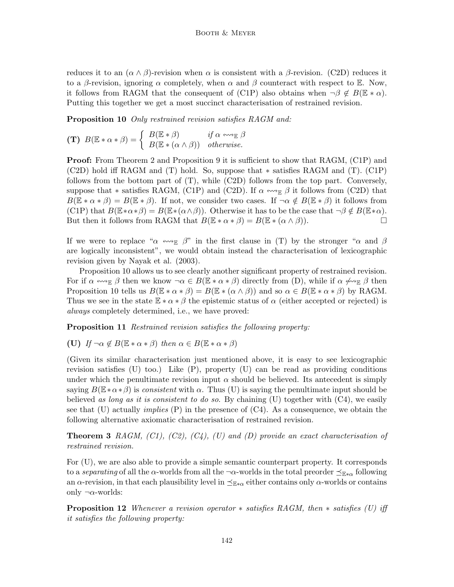reduces it to an  $(\alpha \wedge \beta)$ -revision when  $\alpha$  is consistent with a  $\beta$ -revision. (C2D) reduces it to a β-revision, ignoring  $\alpha$  completely, when  $\alpha$  and  $\beta$  counteract with respect to E. Now, it follows from RAGM that the consequent of (C1P) also obtains when  $\neg \beta \notin B(\mathbb{E} * \alpha)$ . Putting this together we get a most succinct characterisation of restrained revision.

**Proposition 10** Only restrained revision satisfies RAGM and:

$$
\textbf{(T)}\ \ B(\mathbb{E}*\alpha*\beta)=\left\{\begin{array}{ll}B(\mathbb{E}*\beta)&\textit{if $\alpha\leftrightsquigarrow_{\mathbb{E}}$}\beta\\B(\mathbb{E}*(\alpha\wedge\beta))&\textit{otherwise.}\end{array}\right.
$$

**Proof:** From Theorem 2 and Proposition 9 it is sufficient to show that RAGM, (C1P) and (C2D) hold iff RAGM and (T) hold. So, suppose that ∗ satisfies RAGM and (T). (C1P) follows from the bottom part of  $(T)$ , while  $(C2D)$  follows from the top part. Conversely, suppose that  $*$  satisfies RAGM, (C1P) and (C2D). If  $\alpha \leftrightarrow_{\mathbb{E}} \beta$  it follows from (C2D) that  $B(\mathbb{E} * \alpha * \beta) = B(\mathbb{E} * \beta)$ . If not, we consider two cases. If  $\neg \alpha \notin B(\mathbb{E} * \beta)$  it follows from  $(C1P)$  that  $B(\mathbb{E} * \alpha * \beta) = B(\mathbb{E} * (\alpha \wedge \beta))$ . Otherwise it has to be the case that  $\neg \beta \notin B(\mathbb{E} * \alpha)$ . But then it follows from RAGM that  $B(\mathbb{E} * \alpha * \beta) = B(\mathbb{E} * (\alpha \wedge \beta)).$ 

If we were to replace " $\alpha \leftrightarrow_{\mathbb{E}} \beta$ " in the first clause in (T) by the stronger " $\alpha$  and  $\beta$ are logically inconsistent", we would obtain instead the characterisation of lexicographic revision given by Nayak et al. (2003).

Proposition 10 allows us to see clearly another significant property of restrained revision. For if  $\alpha \leftrightarrow_{\mathbb{E}} \beta$  then we know  $\neg \alpha \in B(\mathbb{E} * \alpha * \beta)$  directly from (D), while if  $\alpha \not\leftrightarrow_{\mathbb{E}} \beta$  then Proposition 10 tells us  $B(\mathbb{E} * \alpha * \beta) = B(\mathbb{E} * (\alpha \wedge \beta))$  and so  $\alpha \in B(\mathbb{E} * \alpha * \beta)$  by RAGM. Thus we see in the state  $\mathbb{E} * \alpha * \beta$  the epistemic status of  $\alpha$  (either accepted or rejected) is always completely determined, i.e., we have proved:

Proposition 11 Restrained revision satisfies the following property:

(U) If  $\neg \alpha \notin B(\mathbb{E} * \alpha * \beta)$  then  $\alpha \in B(\mathbb{E} * \alpha * \beta)$ 

(Given its similar characterisation just mentioned above, it is easy to see lexicographic revision satisfies (U) too.) Like (P), property (U) can be read as providing conditions under which the penultimate revision input  $\alpha$  should be believed. Its antecedent is simply saying  $B(\mathbb{E} * \alpha * \beta)$  is consistent with  $\alpha$ . Thus (U) is saying the penultimate input should be believed as long as it is consistent to do so. By chaining  $(U)$  together with  $(C4)$ , we easily see that (U) actually *implies* (P) in the presence of  $(C4)$ . As a consequence, we obtain the following alternative axiomatic characterisation of restrained revision.

**Theorem 3** RAGM,  $(Cl)$ ,  $(C2)$ ,  $(C4)$ ,  $(U)$  and  $(D)$  provide an exact characterisation of restrained revision.

For (U), we are also able to provide a simple semantic counterpart property. It corresponds to a separating of all the  $\alpha$ -worlds from all the ¬ $\alpha$ -worlds in the total preorder  $\preceq_{\mathbb{E}*\alpha}$  following an  $\alpha$ -revision, in that each plausibility level in  $\preceq_{\mathbb{E}*\alpha}$  either contains only  $\alpha$ -worlds or contains only  $\neg \alpha$ -worlds:

**Proposition 12** Whenever a revision operator  $*$  satisfies RAGM, then  $*$  satisfies (U) iff it satisfies the following property: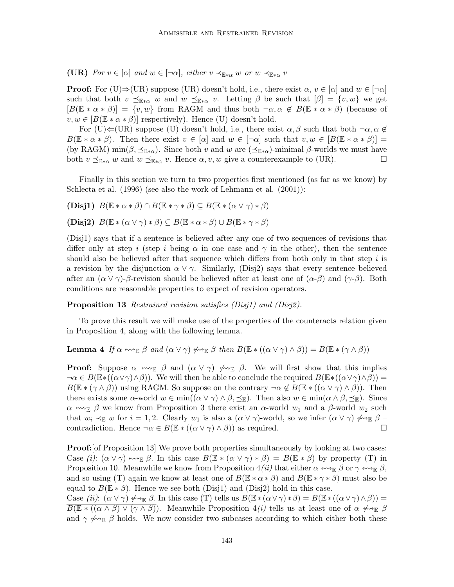(UR) For  $v \in [\alpha]$  and  $w \in [\neg \alpha]$ , either  $v \prec_{\mathbb{E} * \alpha} w$  or  $w \prec_{\mathbb{E} * \alpha} v$ 

**Proof:** For (U) $\Rightarrow$ (UR) suppose (UR) doesn't hold, i.e., there exist  $\alpha, v \in [\alpha]$  and  $w \in [\neg \alpha]$ such that both  $v \preceq_{\mathbb{E} * \alpha} w$  and  $w \preceq_{\mathbb{E} * \alpha} v$ . Letting  $\beta$  be such that  $[\beta] = \{v, w\}$  we get  $[B(\mathbb{E} * \alpha * \beta)] = \{v, w\}$  from RAGM and thus both  $\neg \alpha, \alpha \notin B(\mathbb{E} * \alpha * \beta)$  (because of  $v, w \in [B(\mathbb{E} * \alpha * \beta)]$  respectively). Hence (U) doesn't hold.

For (U) $\Leftarrow$ (UR) suppose (U) doesn't hold, i.e., there exist  $\alpha, \beta$  such that both  $\neg \alpha, \alpha \notin$  $B(\mathbb{E} * \alpha * \beta)$ . Then there exist  $v \in [\alpha]$  and  $w \in [\neg \alpha]$  such that  $v, w \in [B(\mathbb{E} * \alpha * \beta)] =$ (by RAGM) min( $\beta$ ,  $\leq_{\mathbb{E}*\alpha}$ ). Since both v and w are ( $\leq_{\mathbb{E}*\alpha}$ )-minimal  $\beta$ -worlds we must have both  $v \preceq_{\mathbb{E} * \alpha} w$  and  $w \preceq_{\mathbb{E} * \alpha} v$ . Hence  $\alpha, v, w$  give a counterexample to (UR).

Finally in this section we turn to two properties first mentioned (as far as we know) by Schlecta et al. (1996) (see also the work of Lehmann et al. (2001)):

(Disj1)  $B(\mathbb{E} * \alpha * \beta) \cap B(\mathbb{E} * \gamma * \beta) \subseteq B(\mathbb{E} * (\alpha \vee \gamma) * \beta)$ 

(Disj2)  $B(\mathbb{E} * (\alpha \vee \gamma) * \beta) \subset B(\mathbb{E} * \alpha * \beta) \cup B(\mathbb{E} * \gamma * \beta)$ 

(Disj1) says that if a sentence is believed after any one of two sequences of revisions that differ only at step i (step i being  $\alpha$  in one case and  $\gamma$  in the other), then the sentence should also be believed after that sequence which differs from both only in that step  $i$  is a revision by the disjunction  $\alpha \vee \gamma$ . Similarly, (Disj2) says that every sentence believed after an  $(\alpha \vee \gamma)$ -β-revision should be believed after at least one of  $(\alpha-\beta)$  and  $(\gamma-\beta)$ . Both conditions are reasonable properties to expect of revision operators.

Proposition 13 Restrained revision satisfies (Disj1) and (Disj2).

To prove this result we will make use of the properties of the counteracts relation given in Proposition 4, along with the following lemma.

**Lemma 4** If  $\alpha \leftrightarrow_{\mathbb{E}} \beta$  and  $(\alpha \vee \gamma) \not\leftrightarrow_{\mathbb{E}} \beta$  then  $B(\mathbb{E} * ((\alpha \vee \gamma) \wedge \beta)) = B(\mathbb{E} * (\gamma \wedge \beta))$ 

**Proof:** Suppose  $\alpha \leftrightarrow_{\mathbb{E}} \beta$  and  $(\alpha \vee \gamma) \not\leftrightarrow_{\mathbb{E}} \beta$ . We will first show that this implies  $\neg \alpha \in B(\mathbb{E} * ((\alpha \vee \gamma) \wedge \beta))$ . We will then be able to conclude the required  $B(\mathbb{E} * ((\alpha \vee \gamma) \wedge \beta)) =$  $B(\mathbb{E} * (\gamma \wedge \beta))$  using RAGM. So suppose on the contrary  $\neg \alpha \notin B(\mathbb{E} * ((\alpha \vee \gamma) \wedge \beta))$ . Then there exists some  $\alpha$ -world  $w \in \min((\alpha \vee \gamma) \wedge \beta, \preceq_{\mathbb{E}})$ . Then also  $w \in \min(\alpha \wedge \beta, \preceq_{\mathbb{E}})$ . Since  $\alpha \leftrightarrow_{\mathbb{E}} \beta$  we know from Proposition 3 there exist an  $\alpha$ -world  $w_1$  and a  $\beta$ -world  $w_2$  such that  $w_i \prec_{\mathbb{E}} w$  for  $i = 1, 2$ . Clearly  $w_1$  is also a  $(\alpha \vee \gamma)$ -world, so we infer  $(\alpha \vee \gamma)$   $\rightsquigarrow_{\mathbb{E}} \beta$ contradiction. Hence  $\neg \alpha \in B(\mathbb{E} * ((\alpha \vee \gamma) \wedge \beta))$  as required.

**Proof:** [of Proposition 13] We prove both properties simultaneously by looking at two cases: Case (i):  $(\alpha \vee \gamma) \leftrightarrow_{\mathbb{E}} \beta$ . In this case  $B(\mathbb{E} * (\alpha \vee \gamma) * \beta) = B(\mathbb{E} * \beta)$  by property (T) in Proposition 10. Meanwhile we know from Proposition  $4(ii)$  that either  $\alpha \leftrightarrow_{\mathbb{E}} \beta$  or  $\gamma \leftrightarrow_{\mathbb{E}} \beta$ , and so using (T) again we know at least one of  $B(\mathbb{E} * \alpha * \beta)$  and  $B(\mathbb{E} * \gamma * \beta)$  must also be equal to  $B(\mathbb{E} * \beta)$ . Hence we see both (Disj1) and (Disj2) hold in this case.

Case (ii):  $(\alpha \vee \gamma) \nleftrightarrow_{\mathbb{R}} \beta$ . In this case (T) tells us  $B(\mathbb{E} * (\alpha \vee \gamma) * \beta) = B(\mathbb{E} * ((\alpha \vee \gamma) \wedge \beta)) =$  $B(\mathbb{E} * ((\alpha \wedge \beta) \vee (\gamma \wedge \beta))$ . Meanwhile Proposition 4(i) tells us at least one of  $\alpha \nleftrightarrow_{\mathbb{E}} \beta$ and  $\gamma \nleftrightarrow_{\mathbb{E}} \beta$  holds. We now consider two subcases according to which either both these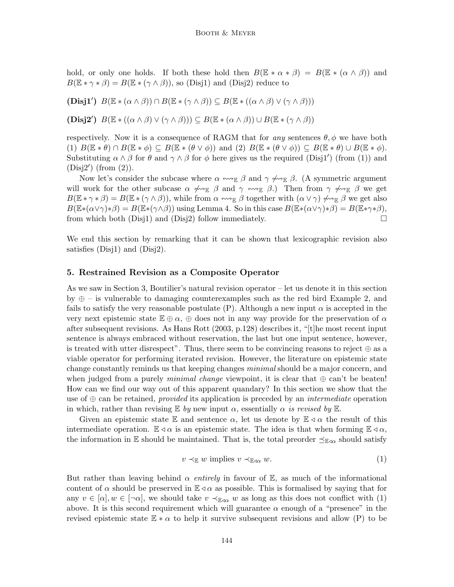hold, or only one holds. If both these hold then  $B(\mathbb{E} * \alpha * \beta) = B(\mathbb{E} * (\alpha \wedge \beta))$  and  $B(\mathbb{E} * \gamma * \beta) = B(\mathbb{E} * (\gamma \wedge \beta))$ , so (Disj1) and (Disj2) reduce to

(Disj1')  $B(\mathbb{E} * (\alpha \wedge \beta)) \cap B(\mathbb{E} * (\gamma \wedge \beta)) \subseteq B(\mathbb{E} * ((\alpha \wedge \beta) \vee (\gamma \wedge \beta)))$ 

(Disj2')  $B(\mathbb{E} * ((\alpha \wedge \beta) \vee (\gamma \wedge \beta))) \subseteq B(\mathbb{E} * (\alpha \wedge \beta)) \cup B(\mathbb{E} * (\gamma \wedge \beta))$ 

respectively. Now it is a consequence of RAGM that for any sentences  $\theta$ ,  $\phi$  we have both (1)  $B(\mathbb{E} * \theta) \cap B(\mathbb{E} * \phi) \subseteq B(\mathbb{E} * (\theta \vee \phi))$  and (2)  $B(\mathbb{E} * (\theta \vee \phi)) \subseteq B(\mathbb{E} * \theta) \cup B(\mathbb{E} * \phi)$ . Substituting  $\alpha \wedge \beta$  for  $\theta$  and  $\gamma \wedge \beta$  for  $\phi$  here gives us the required (Disj1') (from (1)) and  $(Disj2')$  (from  $(2)$ ).

Now let's consider the subcase where  $\alpha \leftrightarrow_{\mathbb{E}} \beta$  and  $\gamma \not\leftrightarrow_{\mathbb{E}} \beta$ . (A symmetric argument will work for the other subcase  $\alpha \not\rightsquigarrow_{\mathbb{E}} \beta$  and  $\gamma \leftrightarrow_{\mathbb{E}} \beta$ .) Then from  $\gamma \not\rightsquigarrow_{\mathbb{E}} \beta$  we get  $B(\mathbb{E} * \gamma * \beta) = B(\mathbb{E} * (\gamma \wedge \beta))$ , while from  $\alpha \leftrightarrow_{\mathbb{E}} \beta$  together with  $(\alpha \vee \gamma) \not\leftrightarrow_{\mathbb{E}} \beta$  we get also  $B(\mathbb{E}*(\alpha\vee\gamma)*\beta)=B(\mathbb{E}*(\gamma\wedge\beta))$  using Lemma 4. So in this case  $B(\mathbb{E}*(\alpha\vee\gamma)*\beta)=B(\mathbb{E}*\gamma*\beta)$ , from which both (Disj1) and (Disj2) follow immediately.  $\square$ 

We end this section by remarking that it can be shown that lexicographic revision also satisfies (Disj1) and (Disj2).

# 5. Restrained Revision as a Composite Operator

As we saw in Section 3, Boutilier's natural revision operator – let us denote it in this section by  $\oplus$  – is vulnerable to damaging counterexamples such as the red bird Example 2, and fails to satisfy the very reasonable postulate (P). Although a new input  $\alpha$  is accepted in the very next epistemic state  $\mathbb{E} \oplus \alpha$ ,  $\oplus$  does not in any way provide for the preservation of  $\alpha$ after subsequent revisions. As Hans Rott (2003, p.128) describes it, "[t]he most recent input sentence is always embraced without reservation, the last but one input sentence, however, is treated with utter disrespect". Thus, there seem to be convincing reasons to reject  $\oplus$  as a viable operator for performing iterated revision. However, the literature on epistemic state change constantly reminds us that keeping changes *minimal* should be a major concern, and when judged from a purely *minimal change* viewpoint, it is clear that  $oplus$  can't be beaten! How can we find our way out of this apparent quandary? In this section we show that the use of  $\oplus$  can be retained, *provided* its application is preceded by an *intermediate* operation in which, rather than revising  $E$  by new input  $\alpha$ , essentially  $\alpha$  is revised by  $E$ .

Given an epistemic state E and sentence  $\alpha$ , let us denote by  $\mathbb{E} \triangleleft \alpha$  the result of this intermediate operation.  $\mathbb{E} \triangleleft \alpha$  is an epistemic state. The idea is that when forming  $\mathbb{E} \triangleleft \alpha$ , the information in E should be maintained. That is, the total preorder  $\preceq_{\mathbb{E}\triangleleft\alpha}$  should satisfy

$$
v \prec_{\mathbb{E}} w \text{ implies } v \prec_{\mathbb{E}\triangleleft\alpha} w. \tag{1}
$$

But rather than leaving behind  $\alpha$  entirely in favour of E, as much of the informational content of  $\alpha$  should be preserved in  $\mathbb{E} \triangleleft \alpha$  as possible. This is formalised by saying that for any  $v \in [\alpha], w \in [\neg \alpha],$  we should take  $v \prec_{\mathbb{E} \varphi \alpha} w$  as long as this does not conflict with (1) above. It is this second requirement which will guarantee  $\alpha$  enough of a "presence" in the revised epistemic state  $\mathbb{E} * \alpha$  to help it survive subsequent revisions and allow (P) to be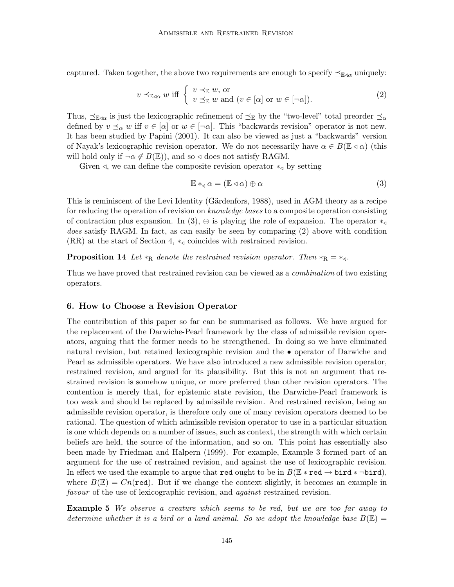captured. Taken together, the above two requirements are enough to specify  $\preceq_{\mathbb{E}\triangleleft\alpha}$  uniquely:

$$
v \preceq_{\mathbb{E}\text{-a}} w \text{ iff } \begin{cases} v \prec_{\mathbb{E}} w, \text{ or} \\ v \preceq_{\mathbb{E}} w \text{ and } (v \in [\alpha] \text{ or } w \in [\neg \alpha]). \end{cases} \tag{2}
$$

Thus,  $\preceq_{\mathbb{E}\alpha}$  is just the lexicographic refinement of  $\preceq_{\mathbb{E}}$  by the "two-level" total preorder  $\preceq_{\alpha}$ defined by  $v \preceq_{\alpha} w$  iff  $v \in [\alpha]$  or  $w \in [\neg \alpha]$ . This "backwards revision" operator is not new. It has been studied by Papini (2001). It can also be viewed as just a "backwards" version of Nayak's lexicographic revision operator. We do not necessarily have  $\alpha \in B(\mathbb{E} \triangleleft \alpha)$  (this will hold only if  $\neg \alpha \notin B(\mathbb{E})$ , and so  $\triangleleft$  does not satisfy RAGM.

Given  $\triangleleft$ , we can define the composite revision operator  $*_\triangleleft$  by setting

$$
\mathbb{E} *_{\mathbf{d}} \alpha = (\mathbb{E} \triangleleft \alpha) \oplus \alpha \tag{3}
$$

This is reminiscent of the Levi Identity (Gärdenfors, 1988), used in AGM theory as a recipe for reducing the operation of revision on *knowledge bases* to a composite operation consisting of contraction plus expansion. In (3),  $\oplus$  is playing the role of expansion. The operator  $*_4$ does satisfy RAGM. In fact, as can easily be seen by comparing  $(2)$  above with condition (RR) at the start of Section 4,  $*_q$  coincides with restrained revision.

**Proposition 14** Let  $*_{\text{R}}$  denote the restrained revision operator. Then  $*_{\text{R}} = *_{\text{d}}$ .

Thus we have proved that restrained revision can be viewed as a *combination* of two existing operators.

## 6. How to Choose a Revision Operator

The contribution of this paper so far can be summarised as follows. We have argued for the replacement of the Darwiche-Pearl framework by the class of admissible revision operators, arguing that the former needs to be strengthened. In doing so we have eliminated natural revision, but retained lexicographic revision and the • operator of Darwiche and Pearl as admissible operators. We have also introduced a new admissible revision operator, restrained revision, and argued for its plausibility. But this is not an argument that restrained revision is somehow unique, or more preferred than other revision operators. The contention is merely that, for epistemic state revision, the Darwiche-Pearl framework is too weak and should be replaced by admissible revision. And restrained revision, being an admissible revision operator, is therefore only one of many revision operators deemed to be rational. The question of which admissible revision operator to use in a particular situation is one which depends on a number of issues, such as context, the strength with which certain beliefs are held, the source of the information, and so on. This point has essentially also been made by Friedman and Halpern (1999). For example, Example 3 formed part of an argument for the use of restrained revision, and against the use of lexicographic revision. In effect we used the example to argue that red ought to be in  $B(\mathbb{E} * \text{red} \to \text{bird} * \neg \text{bird}),$ where  $B(\mathbb{E}) = Cn(\text{red})$ . But if we change the context slightly, it becomes an example in favour of the use of lexicographic revision, and *against* restrained revision.

Example 5 We observe a creature which seems to be red, but we are too far away to determine whether it is a bird or a land animal. So we adopt the knowledge base  $B(\mathbb{E}) =$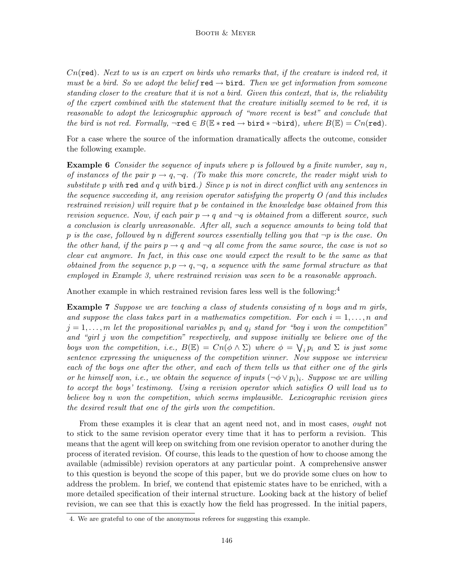$Cn(\text{red})$ . Next to us is an expert on birds who remarks that, if the creature is indeed red, it must be a bird. So we adopt the belief red  $\rightarrow$  bird. Then we get information from someone standing closer to the creature that it is not a bird. Given this context, that is, the reliability of the expert combined with the statement that the creature initially seemed to be red, it is reasonable to adopt the lexicographic approach of "more recent is best" and conclude that the bird is not red. Formally,  $\neg \text{red} \in B(\mathbb{E} * \text{red} \to \text{bird} * \neg \text{bird})$ , where  $B(\mathbb{E}) = Cn(\text{red})$ .

For a case where the source of the information dramatically affects the outcome, consider the following example.

**Example 6** Consider the sequence of inputs where p is followed by a finite number, say n, of instances of the pair  $p \to q, \neg q$ . (To make this more concrete, the reader might wish to substitute p with red and q with  $\beta$ .) Since p is not in direct conflict with any sentences in the sequence succeeding it, any revision operator satisfying the property  $O$  (and this includes restrained revision) will require that p be contained in the knowledge base obtained from this revision sequence. Now, if each pair  $p \to q$  and  $\neg q$  is obtained from a different source, such a conclusion is clearly unreasonable. After all, such a sequence amounts to being told that p is the case, followed by n different sources essentially telling you that  $\neg p$  is the case. On the other hand, if the pairs  $p \to q$  and  $\neg q$  all come from the same source, the case is not so clear cut anymore. In fact, in this case one would expect the result to be the same as that obtained from the sequence  $p, p \rightarrow q, \neg q, a$  sequence with the same formal structure as that employed in Example 3, where restrained revision was seen to be a reasonable approach.

Another example in which restrained revision fares less well is the following:<sup>4</sup>

**Example 7** Suppose we are teaching a class of students consisting of n boys and m girls, and suppose the class takes part in a mathematics competition. For each  $i = 1, \ldots, n$  and  $j = 1, \ldots, m$  let the propositional variables  $p_i$  and  $q_j$  stand for "boy i won the competition" and "girl j won the competition" respectively, and suppose initially we believe one of the boys won the competition, i.e.,  $B(\mathbb{E}) = Cn(\phi \wedge \Sigma)$  where  $\phi = \bigvee_i p_i$  and  $\Sigma$  is just some sentence expressing the uniqueness of the competition winner. Now suppose we interview each of the boys one after the other, and each of them tells us that either one of the girls or he himself won, i.e., we obtain the sequence of inputs  $(\neg \phi \lor p_i)_i$ . Suppose we are willing to accept the boys' testimony. Using a revision operator which satisfies O will lead us to believe boy n won the competition, which seems implausible. Lexicographic revision gives the desired result that one of the girls won the competition.

From these examples it is clear that an agent need not, and in most cases, ought not to stick to the same revision operator every time that it has to perform a revision. This means that the agent will keep on switching from one revision operator to another during the process of iterated revision. Of course, this leads to the question of how to choose among the available (admissible) revision operators at any particular point. A comprehensive answer to this question is beyond the scope of this paper, but we do provide some clues on how to address the problem. In brief, we contend that epistemic states have to be enriched, with a more detailed specification of their internal structure. Looking back at the history of belief revision, we can see that this is exactly how the field has progressed. In the initial papers,

<sup>4.</sup> We are grateful to one of the anonymous referees for suggesting this example.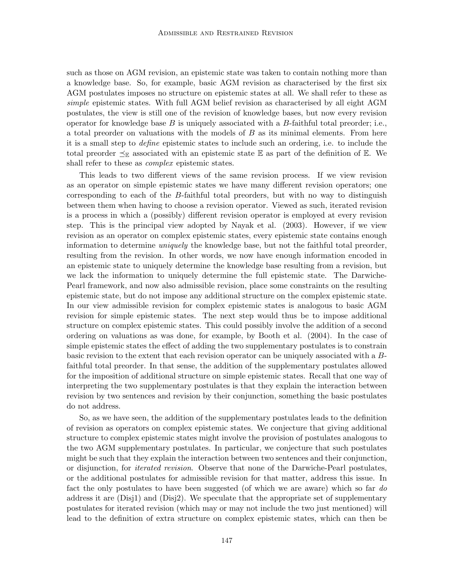such as those on AGM revision, an epistemic state was taken to contain nothing more than a knowledge base. So, for example, basic AGM revision as characterised by the first six AGM postulates imposes no structure on epistemic states at all. We shall refer to these as simple epistemic states. With full AGM belief revision as characterised by all eight AGM postulates, the view is still one of the revision of knowledge bases, but now every revision operator for knowledge base  $B$  is uniquely associated with a  $B$ -faithful total preorder; i.e., a total preorder on valuations with the models of  $B$  as its minimal elements. From here it is a small step to define epistemic states to include such an ordering, i.e. to include the total preorder  $\preceq_{\mathbb{E}}$  associated with an epistemic state  $\mathbb{E}$  as part of the definition of  $\mathbb{E}$ . We shall refer to these as *complex* epistemic states.

This leads to two different views of the same revision process. If we view revision as an operator on simple epistemic states we have many different revision operators; one corresponding to each of the B-faithful total preorders, but with no way to distinguish between them when having to choose a revision operator. Viewed as such, iterated revision is a process in which a (possibly) different revision operator is employed at every revision step. This is the principal view adopted by Nayak et al. (2003). However, if we view revision as an operator on complex epistemic states, every epistemic state contains enough information to determine uniquely the knowledge base, but not the faithful total preorder, resulting from the revision. In other words, we now have enough information encoded in an epistemic state to uniquely determine the knowledge base resulting from a revision, but we lack the information to uniquely determine the full epistemic state. The Darwiche-Pearl framework, and now also admissible revision, place some constraints on the resulting epistemic state, but do not impose any additional structure on the complex epistemic state. In our view admissible revision for complex epistemic states is analogous to basic AGM revision for simple epistemic states. The next step would thus be to impose additional structure on complex epistemic states. This could possibly involve the addition of a second ordering on valuations as was done, for example, by Booth et al. (2004). In the case of simple epistemic states the effect of adding the two supplementary postulates is to constrain basic revision to the extent that each revision operator can be uniquely associated with a Bfaithful total preorder. In that sense, the addition of the supplementary postulates allowed for the imposition of additional structure on simple epistemic states. Recall that one way of interpreting the two supplementary postulates is that they explain the interaction between revision by two sentences and revision by their conjunction, something the basic postulates do not address.

So, as we have seen, the addition of the supplementary postulates leads to the definition of revision as operators on complex epistemic states. We conjecture that giving additional structure to complex epistemic states might involve the provision of postulates analogous to the two AGM supplementary postulates. In particular, we conjecture that such postulates might be such that they explain the interaction between two sentences and their conjunction, or disjunction, for iterated revision. Observe that none of the Darwiche-Pearl postulates, or the additional postulates for admissible revision for that matter, address this issue. In fact the only postulates to have been suggested (of which we are aware) which so far do address it are (Disj1) and (Disj2). We speculate that the appropriate set of supplementary postulates for iterated revision (which may or may not include the two just mentioned) will lead to the definition of extra structure on complex epistemic states, which can then be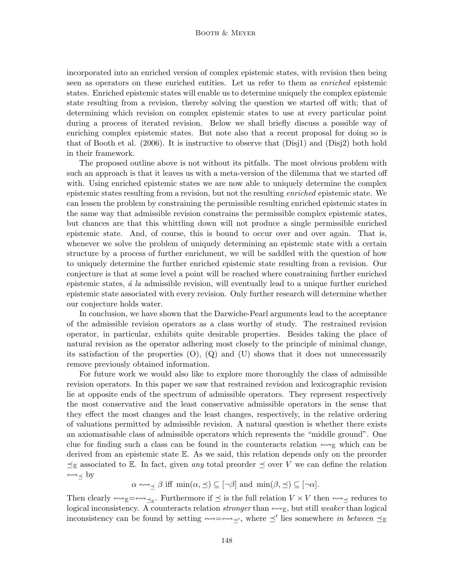incorporated into an enriched version of complex epistemic states, with revision then being seen as operators on these enriched entities. Let us refer to them as enriched epistemic states. Enriched epistemic states will enable us to determine uniquely the complex epistemic state resulting from a revision, thereby solving the question we started off with; that of determining which revision on complex epistemic states to use at every particular point during a process of iterated revision. Below we shall briefly discuss a possible way of enriching complex epistemic states. But note also that a recent proposal for doing so is that of Booth et al. (2006). It is instructive to observe that (Disj1) and (Disj2) both hold in their framework.

The proposed outline above is not without its pitfalls. The most obvious problem with such an approach is that it leaves us with a meta-version of the dilemma that we started off with. Using enriched epistemic states we are now able to uniquely determine the complex epistemic states resulting from a revision, but not the resulting enriched epistemic state. We can lessen the problem by constraining the permissible resulting enriched epistemic states in the same way that admissible revision constrains the permissible complex epistemic states, but chances are that this whittling down will not produce a single permissible enriched epistemic state. And, of course, this is bound to occur over and over again. That is, whenever we solve the problem of uniquely determining an epistemic state with a certain structure by a process of further enrichment, we will be saddled with the question of how to uniquely determine the further enriched epistemic state resulting from a revision. Our conjecture is that at some level a point will be reached where constraining further enriched epistemic states,  $\acute{a}$  la admissible revision, will eventually lead to a unique further enriched epistemic state associated with every revision. Only further research will determine whether our conjecture holds water.

In conclusion, we have shown that the Darwiche-Pearl arguments lead to the acceptance of the admissible revision operators as a class worthy of study. The restrained revision operator, in particular, exhibits quite desirable properties. Besides taking the place of natural revision as the operator adhering most closely to the principle of minimal change, its satisfaction of the properties  $(O)$ ,  $(Q)$  and  $(U)$  shows that it does not unnecessarily remove previously obtained information.

For future work we would also like to explore more thoroughly the class of admissible revision operators. In this paper we saw that restrained revision and lexicographic revision lie at opposite ends of the spectrum of admissible operators. They represent respectively the most conservative and the least conservative admissible operators in the sense that they effect the most changes and the least changes, respectively, in the relative ordering of valuations permitted by admissible revision. A natural question is whether there exists an axiomatisable class of admissible operators which represents the "middle ground". One clue for finding such a class can be found in the counteracts relation  $\ll \mathbb{R}$  which can be derived from an epistemic state E. As we said, this relation depends only on the preorder  $\preceq_{\mathbb{E}}$  associated to  $\mathbb{E}$ . In fact, given any total preorder  $\preceq$  over V we can define the relation  $\leftrightarrow\rightarrow$  by

 $\alpha \leftrightarrow \beta$  iff  $\min(\alpha, \preceq) \subseteq [\neg \beta]$  and  $\min(\beta, \preceq) \subseteq [\neg \alpha]$ .

Then clearly  $\ll \mathbb{E}$  =  $\ll \mathbb{E}$ . Furthermore if  $\preceq$  is the full relation  $V \times V$  then  $\ll \mathbb{E}$  reduces to logical inconsistency. A counteracts relation *stronger* than  $\leadsto_{\mathbb{E}}$ , but still weaker than logical inconsistency can be found by setting  $\longmapsto \longmapsto \longmapsto'$  lies somewhere in between  $\preceq_{\mathbb{E}}$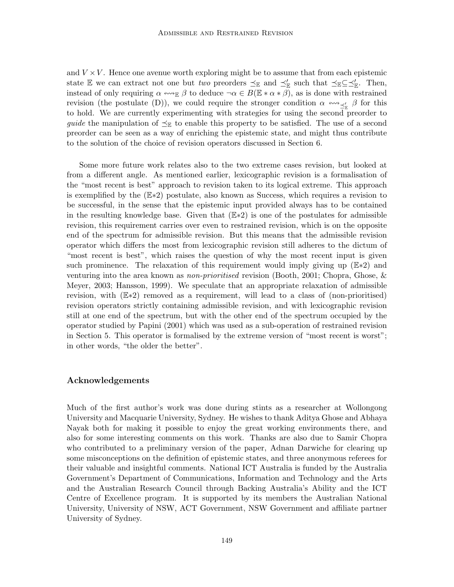and  $V \times V$ . Hence one avenue worth exploring might be to assume that from each epistemic state E we can extract not one but two preorders  $\preceq_{\mathbb{E}}$  and  $\preceq_{\mathbb{E}}'$  such that  $\preceq_{\mathbb{E}} \subseteq \preceq_{\mathbb{E}}'$ . Then, instead of only requiring  $\alpha \leftrightarrow_{\mathbb{E}} \beta$  to deduce  $\neg \alpha \in B(\mathbb{E} * \alpha * \beta)$ , as is done with restrained revision (the postulate (D)), we could require the stronger condition  $\alpha \leftrightarrow_{\preceq'_\mathbb{R}} \beta$  for this to hold. We are currently experimenting with strategies for using the second preorder to *guide* the manipulation of  $\preceq_{\mathbb{E}}$  to enable this property to be satisfied. The use of a second preorder can be seen as a way of enriching the epistemic state, and might thus contribute to the solution of the choice of revision operators discussed in Section 6.

Some more future work relates also to the two extreme cases revision, but looked at from a different angle. As mentioned earlier, lexicographic revision is a formalisation of the "most recent is best" approach to revision taken to its logical extreme. This approach is exemplified by the (E∗2) postulate, also known as Success, which requires a revision to be successful, in the sense that the epistemic input provided always has to be contained in the resulting knowledge base. Given that  $(E*2)$  is one of the postulates for admissible revision, this requirement carries over even to restrained revision, which is on the opposite end of the spectrum for admissible revision. But this means that the admissible revision operator which differs the most from lexicographic revision still adheres to the dictum of "most recent is best", which raises the question of why the most recent input is given such prominence. The relaxation of this requirement would imply giving up ( $E*2$ ) and venturing into the area known as *non-prioritised* revision (Booth, 2001; Chopra, Ghose,  $\&$ Meyer, 2003; Hansson, 1999). We speculate that an appropriate relaxation of admissible revision, with (E∗2) removed as a requirement, will lead to a class of (non-prioritised) revision operators strictly containing admissible revision, and with lexicographic revision still at one end of the spectrum, but with the other end of the spectrum occupied by the operator studied by Papini (2001) which was used as a sub-operation of restrained revision in Section 5. This operator is formalised by the extreme version of "most recent is worst"; in other words, "the older the better".

### Acknowledgements

Much of the first author's work was done during stints as a researcher at Wollongong University and Macquarie University, Sydney. He wishes to thank Aditya Ghose and Abhaya Nayak both for making it possible to enjoy the great working environments there, and also for some interesting comments on this work. Thanks are also due to Samir Chopra who contributed to a preliminary version of the paper, Adnan Darwiche for clearing up some misconceptions on the definition of epistemic states, and three anonymous referees for their valuable and insightful comments. National ICT Australia is funded by the Australia Government's Department of Communications, Information and Technology and the Arts and the Australian Research Council through Backing Australia's Ability and the ICT Centre of Excellence program. It is supported by its members the Australian National University, University of NSW, ACT Government, NSW Government and affiliate partner University of Sydney.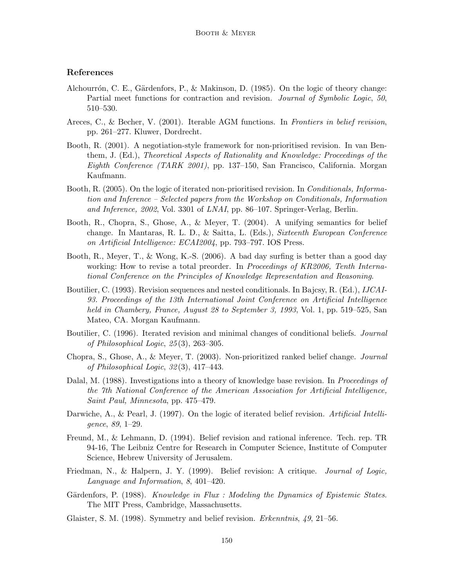# References

- Alchourrón, C. E., Gärdenfors, P., & Makinson, D. (1985). On the logic of theory change: Partial meet functions for contraction and revision. Journal of Symbolic Logic, 50, 510–530.
- Areces, C., & Becher, V. (2001). Iterable AGM functions. In Frontiers in belief revision, pp. 261–277. Kluwer, Dordrecht.
- Booth, R. (2001). A negotiation-style framework for non-prioritised revision. In van Benthem, J. (Ed.), Theoretical Aspects of Rationality and Knowledge: Proceedings of the Eighth Conference (TARK 2001), pp. 137–150, San Francisco, California. Morgan Kaufmann.
- Booth, R. (2005). On the logic of iterated non-prioritised revision. In *Conditionals*, *Informa*tion and Inference – Selected papers from the Workshop on Conditionals, Information and Inference, 2002, Vol. 3301 of LNAI, pp. 86–107. Springer-Verlag, Berlin.
- Booth, R., Chopra, S., Ghose, A., & Meyer, T. (2004). A unifying semantics for belief change. In Mantaras, R. L. D., & Saitta, L. (Eds.), Sixteenth European Conference on Artificial Intelligence: ECAI2004, pp. 793–797. IOS Press.
- Booth, R., Meyer, T., & Wong, K.-S. (2006). A bad day surfing is better than a good day working: How to revise a total preorder. In *Proceedings of KR2006*, Tenth International Conference on the Principles of Knowledge Representation and Reasoning.
- Boutilier, C. (1993). Revision sequences and nested conditionals. In Bajcsy, R. (Ed.), *IJCAI*-93. Proceedings of the 13th International Joint Conference on Artificial Intelligence held in Chambery, France, August 28 to September 3, 1993, Vol. 1, pp. 519–525, San Mateo, CA. Morgan Kaufmann.
- Boutilier, C. (1996). Iterated revision and minimal changes of conditional beliefs. *Journal* of Philosophical Logic, 25 (3), 263–305.
- Chopra, S., Ghose, A., & Meyer, T. (2003). Non-prioritized ranked belief change. Journal of Philosophical Logic, 32 (3), 417–443.
- Dalal, M. (1988). Investigations into a theory of knowledge base revision. In *Proceedings of* the 7th National Conference of the American Association for Artificial Intelligence, Saint Paul, Minnesota, pp. 475–479.
- Darwiche, A., & Pearl, J. (1997). On the logic of iterated belief revision. Artificial Intelligence, 89, 1–29.
- Freund, M., & Lehmann, D. (1994). Belief revision and rational inference. Tech. rep. TR 94-16, The Leibniz Centre for Research in Computer Science, Institute of Computer Science, Hebrew University of Jerusalem.
- Friedman, N., & Halpern, J. Y. (1999). Belief revision: A critique. *Journal of Logic*, Language and Information, 8, 401–420.
- Gärdenfors, P. (1988). Knowledge in Flux : Modeling the Dynamics of Epistemic States. The MIT Press, Cambridge, Massachusetts.
- Glaister, S. M. (1998). Symmetry and belief revision. *Erkenntnis*, 49, 21–56.